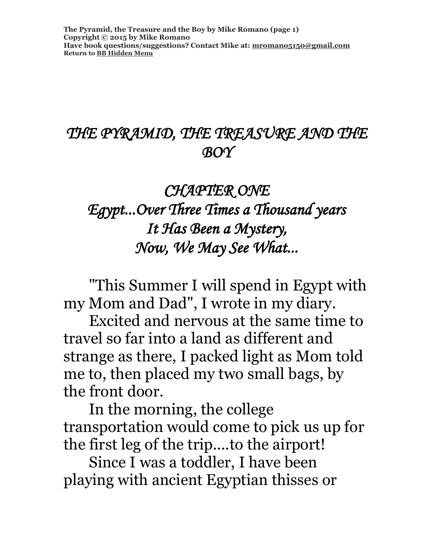**The Pyramid, the Treasure and the Boy by Mike Romano (page 1) Copyright © 2015 by Mike Romano Have book questions/suggestions? Contact Mike at: [mromano5150@gmail.com](mailto:mromano5150@gmail.com) Return t[o BB Hidden Menu](https://www.bartlettbiographies.com/hidden-menu)**

#### *THE PYRAMID, THE TREASURE AND THE BOY*

## *CHAPTER ONE Egypt...Over Three Times a Thousand years It Has Been a Mystery, Now, We May See What...*

"This Summer I will spend in Egypt with my Mom and Dad", I wrote in my diary.

Excited and nervous at the same time to travel so far into a land as different and strange as there, I packed light as Mom told me to, then placed my two small bags, by the front door.

In the morning, the college transportation would come to pick us up for the first leg of the trip....to the airport!

Since I was a toddler, I have been playing with ancient Egyptian thisses or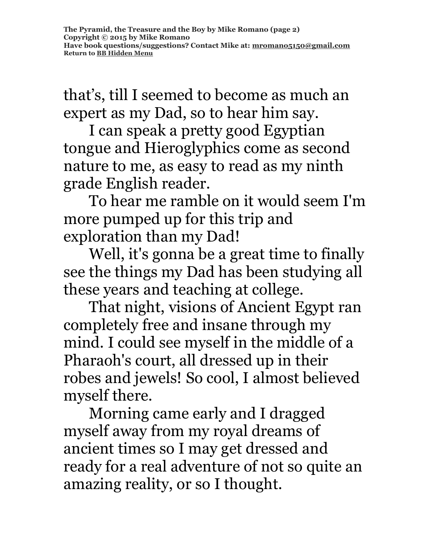that's, till I seemed to become as much an expert as my Dad, so to hear him say.

I can speak a pretty good Egyptian tongue and Hieroglyphics come as second nature to me, as easy to read as my ninth grade English reader.

To hear me ramble on it would seem I'm more pumped up for this trip and exploration than my Dad!

Well, it's gonna be a great time to finally see the things my Dad has been studying all these years and teaching at college.

That night, visions of Ancient Egypt ran completely free and insane through my mind. I could see myself in the middle of a Pharaoh's court, all dressed up in their robes and jewels! So cool, I almost believed myself there.

Morning came early and I dragged myself away from my royal dreams of ancient times so I may get dressed and ready for a real adventure of not so quite an amazing reality, or so I thought.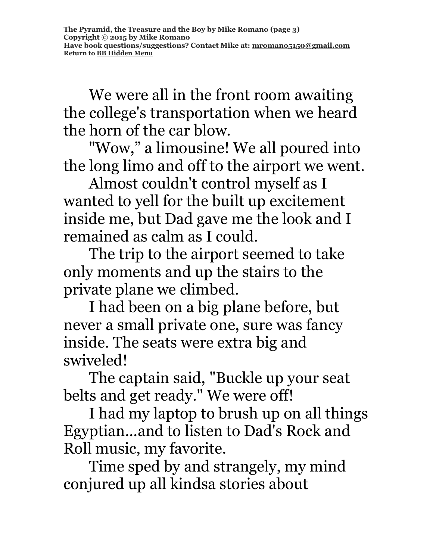We were all in the front room awaiting the college's transportation when we heard the horn of the car blow.

"Wow," a limousine! We all poured into the long limo and off to the airport we went.

Almost couldn't control myself as I wanted to yell for the built up excitement inside me, but Dad gave me the look and I remained as calm as I could.

The trip to the airport seemed to take only moments and up the stairs to the private plane we climbed.

I had been on a big plane before, but never a small private one, sure was fancy inside. The seats were extra big and swiveled!

The captain said, "Buckle up your seat belts and get ready." We were off!

I had my laptop to brush up on all things Egyptian...and to listen to Dad's Rock and Roll music, my favorite.

Time sped by and strangely, my mind conjured up all kindsa stories about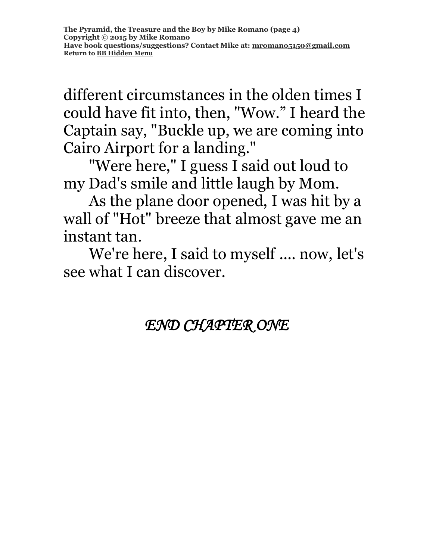different circumstances in the olden times I could have fit into, then, "Wow." I heard the Captain say, "Buckle up, we are coming into Cairo Airport for a landing."

"Were here," I guess I said out loud to my Dad's smile and little laugh by Mom.

As the plane door opened, I was hit by a wall of "Hot" breeze that almost gave me an instant tan.

We're here, I said to myself .... now, let's see what I can discover.

### *END CHAPTER ONE*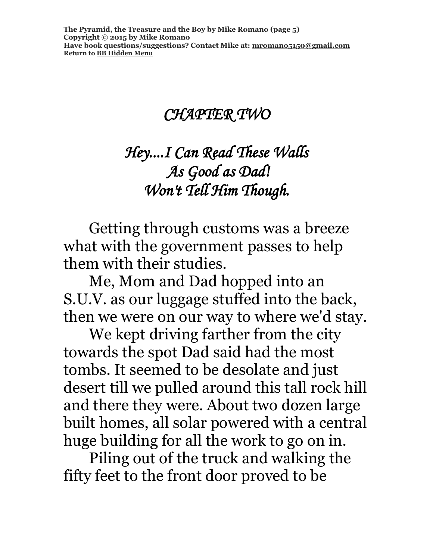# *CHAPTER TWO*

# *Hey....I Can Read These Walls As Good as Dad! Won't Tell Him Though.*

Getting through customs was a breeze what with the government passes to help them with their studies.

Me, Mom and Dad hopped into an S.U.V. as our luggage stuffed into the back, then we were on our way to where we'd stay.

We kept driving farther from the city towards the spot Dad said had the most tombs. It seemed to be desolate and just desert till we pulled around this tall rock hill and there they were. About two dozen large built homes, all solar powered with a central huge building for all the work to go on in.

Piling out of the truck and walking the fifty feet to the front door proved to be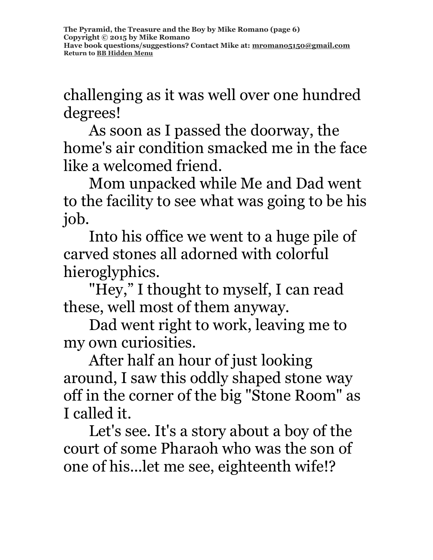challenging as it was well over one hundred degrees!

As soon as I passed the doorway, the home's air condition smacked me in the face like a welcomed friend.

Mom unpacked while Me and Dad went to the facility to see what was going to be his job.

Into his office we went to a huge pile of carved stones all adorned with colorful hieroglyphics.

"Hey," I thought to myself, I can read these, well most of them anyway.

Dad went right to work, leaving me to my own curiosities.

After half an hour of just looking around, I saw this oddly shaped stone way off in the corner of the big "Stone Room" as I called it.

Let's see. It's a story about a boy of the court of some Pharaoh who was the son of one of his...let me see, eighteenth wife!?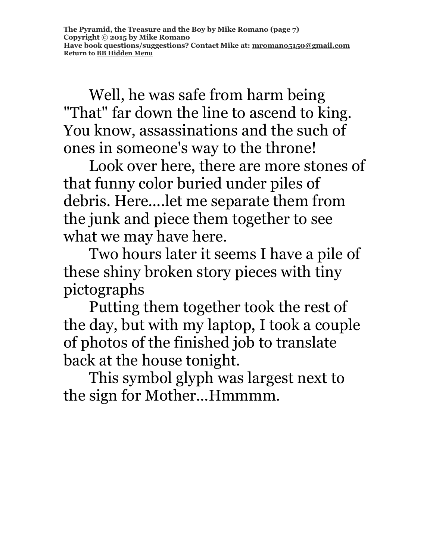Well, he was safe from harm being "That" far down the line to ascend to king. You know, assassinations and the such of ones in someone's way to the throne!

Look over here, there are more stones of that funny color buried under piles of debris. Here....let me separate them from the junk and piece them together to see what we may have here.

Two hours later it seems I have a pile of these shiny broken story pieces with tiny pictographs

Putting them together took the rest of the day, but with my laptop, I took a couple of photos of the finished job to translate back at the house tonight.

This symbol glyph was largest next to the sign for Mother...Hmmmm.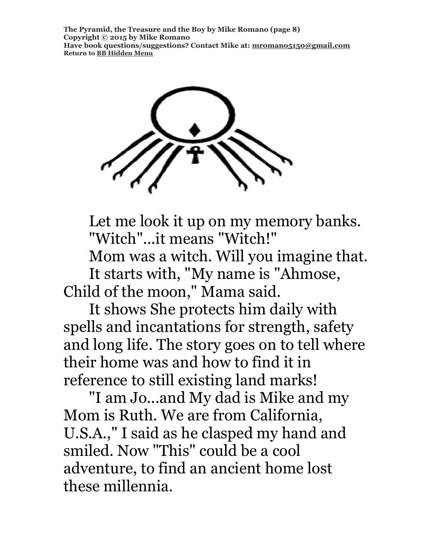**The Pyramid, the Treasure and the Boy by Mike Romano (page 8) Copyright © 2015 by Mike Romano Have book questions/suggestions? Contact Mike at: [mromano5150@gmail.com](mailto:mromano5150@gmail.com) Return t[o BB Hidden Menu](https://www.bartlettbiographies.com/hidden-menu)**



Let me look it up on my memory banks. "Witch"...it means "Witch!" Mom was a witch. Will you imagine that. It starts with, "My name is "Ahmose, Child of the moon," Mama said.

It shows She protects him daily with spells and incantations for strength, safety and long life. The story goes on to tell where their home was and how to find it in reference to still existing land marks!

"I am Jo...and My dad is Mike and my Mom is Ruth. We are from California, U.S.A.," I said as he clasped my hand and smiled. Now "This" could be a cool adventure, to find an ancient home lost these millennia.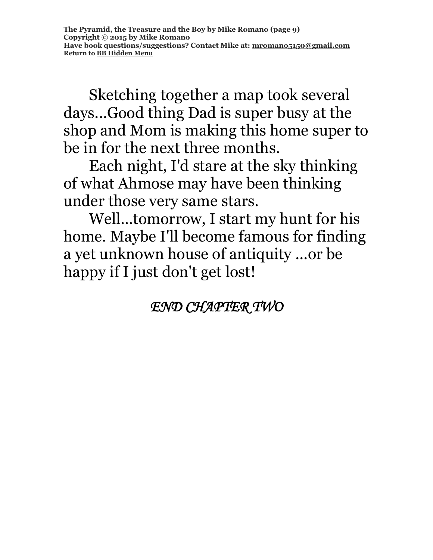Sketching together a map took several days...Good thing Dad is super busy at the shop and Mom is making this home super to be in for the next three months.

Each night, I'd stare at the sky thinking of what Ahmose may have been thinking under those very same stars.

Well...tomorrow, I start my hunt for his home. Maybe I'll become famous for finding a yet unknown house of antiquity ...or be happy if I just don't get lost!

*END CHAPTER TWO*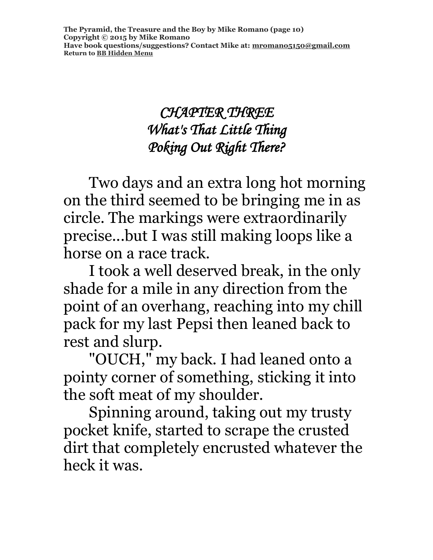#### *CHAPTER THREE What's That Little Thing Poking Out Right There?*

Two days and an extra long hot morning on the third seemed to be bringing me in as circle. The markings were extraordinarily precise...but I was still making loops like a horse on a race track.

I took a well deserved break, in the only shade for a mile in any direction from the point of an overhang, reaching into my chill pack for my last Pepsi then leaned back to rest and slurp.

"OUCH," my back. I had leaned onto a pointy corner of something, sticking it into the soft meat of my shoulder.

Spinning around, taking out my trusty pocket knife, started to scrape the crusted dirt that completely encrusted whatever the heck it was.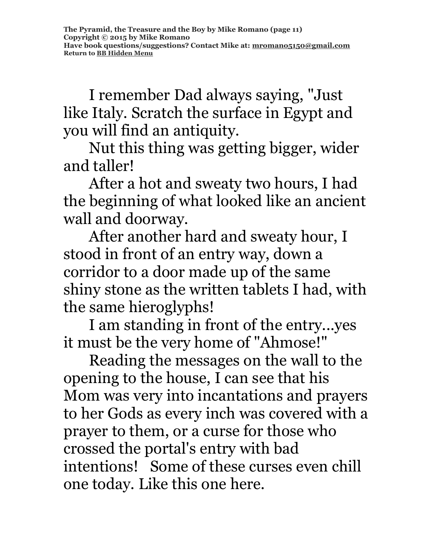I remember Dad always saying, "Just like Italy. Scratch the surface in Egypt and you will find an antiquity.

Nut this thing was getting bigger, wider and taller!

After a hot and sweaty two hours, I had the beginning of what looked like an ancient wall and doorway.

After another hard and sweaty hour, I stood in front of an entry way, down a corridor to a door made up of the same shiny stone as the written tablets I had, with the same hieroglyphs!

I am standing in front of the entry...yes it must be the very home of "Ahmose!"

Reading the messages on the wall to the opening to the house, I can see that his Mom was very into incantations and prayers to her Gods as every inch was covered with a prayer to them, or a curse for those who crossed the portal's entry with bad intentions! Some of these curses even chill one today. Like this one here.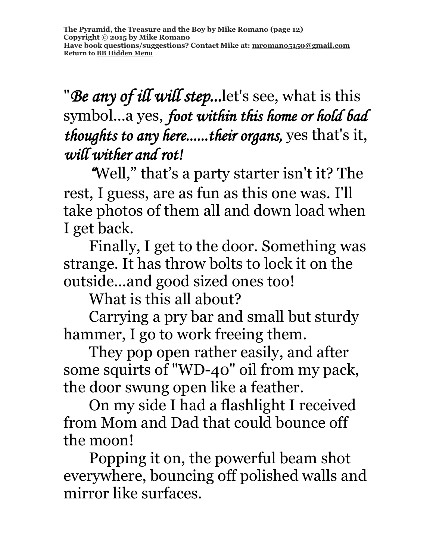**The Pyramid, the Treasure and the Boy by Mike Romano (page 12) Copyright © 2015 by Mike Romano Have book questions/suggestions? Contact Mike at: [mromano5150@gmail.com](mailto:mromano5150@gmail.com) Return t[o BB Hidden Menu](https://www.bartlettbiographies.com/hidden-menu)**

"*Be any of ill will step...*let's see, what is this symbol...a yes, *foot within this home or hold bad thoughts to any here......their organs,* yes that's it, *will wither and rot!* 

 *"*Well," that's a party starter isn't it? The rest, I guess, are as fun as this one was. I'll take photos of them all and down load when I get back.

Finally, I get to the door. Something was strange. It has throw bolts to lock it on the outside...and good sized ones too!

What is this all about?

Carrying a pry bar and small but sturdy hammer, I go to work freeing them.

They pop open rather easily, and after some squirts of "WD-40" oil from my pack, the door swung open like a feather.

On my side I had a flashlight I received from Mom and Dad that could bounce off the moon!

Popping it on, the powerful beam shot everywhere, bouncing off polished walls and mirror like surfaces.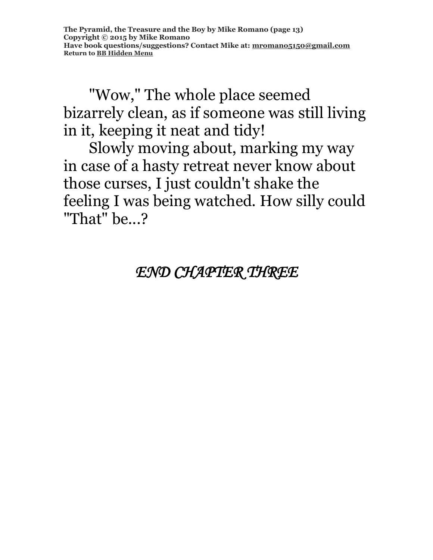"Wow," The whole place seemed bizarrely clean, as if someone was still living in it, keeping it neat and tidy!

Slowly moving about, marking my way in case of a hasty retreat never know about those curses, I just couldn't shake the feeling I was being watched. How silly could "That" be...?

### *END CHAPTER THREE*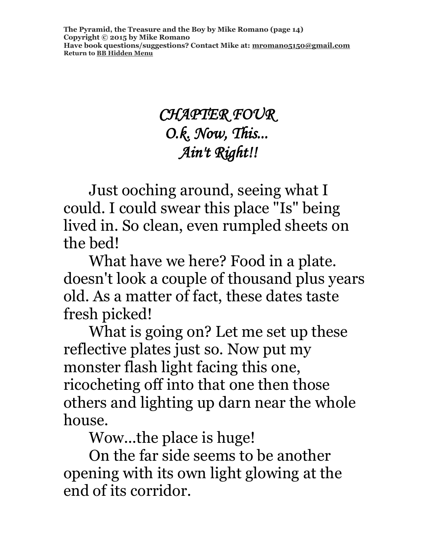**The Pyramid, the Treasure and the Boy by Mike Romano (page 14) Copyright © 2015 by Mike Romano Have book questions/suggestions? Contact Mike at: [mromano5150@gmail.com](mailto:mromano5150@gmail.com) Return t[o BB Hidden Menu](https://www.bartlettbiographies.com/hidden-menu)**

## *CHAPTER FOUR O.k. Now, This... Ain't Right!!*

Just ooching around, seeing what I could. I could swear this place "Is" being lived in. So clean, even rumpled sheets on the bed!

What have we here? Food in a plate. doesn't look a couple of thousand plus years old. As a matter of fact, these dates taste fresh picked!

What is going on? Let me set up these reflective plates just so. Now put my monster flash light facing this one, ricocheting off into that one then those others and lighting up darn near the whole house.

Wow...the place is huge!

On the far side seems to be another opening with its own light glowing at the end of its corridor.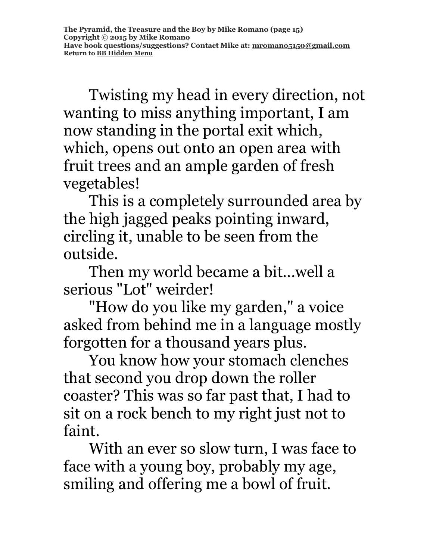Twisting my head in every direction, not wanting to miss anything important, I am now standing in the portal exit which, which, opens out onto an open area with fruit trees and an ample garden of fresh vegetables!

This is a completely surrounded area by the high jagged peaks pointing inward, circling it, unable to be seen from the outside.

Then my world became a bit...well a serious "Lot" weirder!

"How do you like my garden," a voice asked from behind me in a language mostly forgotten for a thousand years plus.

You know how your stomach clenches that second you drop down the roller coaster? This was so far past that, I had to sit on a rock bench to my right just not to faint.

With an ever so slow turn, I was face to face with a young boy, probably my age, smiling and offering me a bowl of fruit.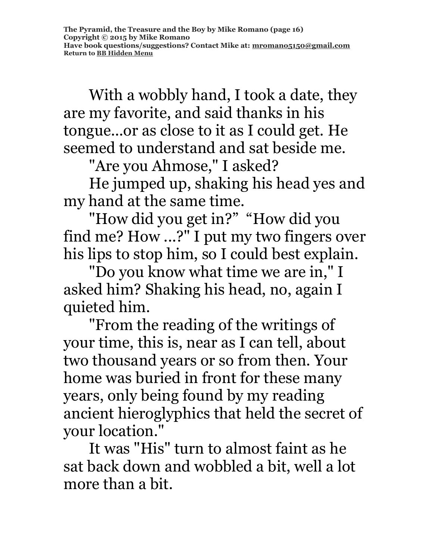With a wobbly hand, I took a date, they are my favorite, and said thanks in his tongue...or as close to it as I could get. He seemed to understand and sat beside me.

"Are you Ahmose," I asked?

He jumped up, shaking his head yes and my hand at the same time.

"How did you get in?" "How did you find me? How ...?" I put my two fingers over his lips to stop him, so I could best explain.

"Do you know what time we are in," I asked him? Shaking his head, no, again I quieted him.

"From the reading of the writings of your time, this is, near as I can tell, about two thousand years or so from then. Your home was buried in front for these many years, only being found by my reading ancient hieroglyphics that held the secret of your location."

It was "His" turn to almost faint as he sat back down and wobbled a bit, well a lot more than a bit.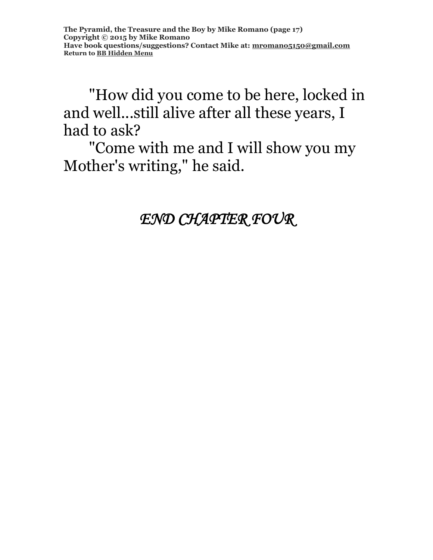**The Pyramid, the Treasure and the Boy by Mike Romano (page 17) Copyright © 2015 by Mike Romano Have book questions/suggestions? Contact Mike at: [mromano5150@gmail.com](mailto:mromano5150@gmail.com) Return t[o BB Hidden Menu](https://www.bartlettbiographies.com/hidden-menu)**

"How did you come to be here, locked in and well...still alive after all these years, I had to ask?

"Come with me and I will show you my Mother's writing," he said.

*END CHAPTER FOUR*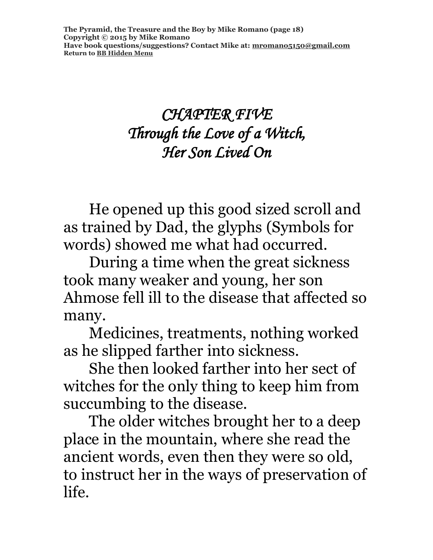## *CHAPTER FIVE Through the Love of a Witch, Her Son Lived On*

He opened up this good sized scroll and as trained by Dad, the glyphs (Symbols for words) showed me what had occurred.

During a time when the great sickness took many weaker and young, her son Ahmose fell ill to the disease that affected so many.

Medicines, treatments, nothing worked as he slipped farther into sickness.

She then looked farther into her sect of witches for the only thing to keep him from succumbing to the disease.

The older witches brought her to a deep place in the mountain, where she read the ancient words, even then they were so old, to instruct her in the ways of preservation of life.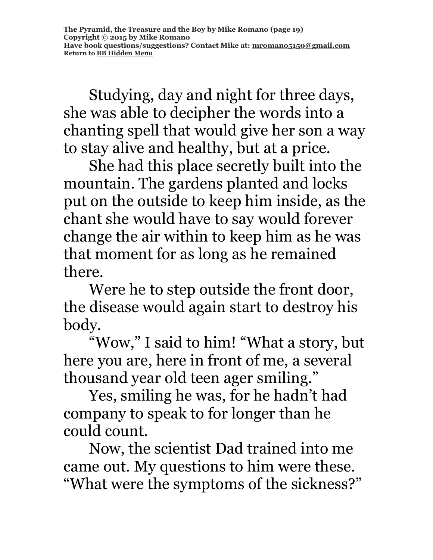Studying, day and night for three days, she was able to decipher the words into a chanting spell that would give her son a way to stay alive and healthy, but at a price.

She had this place secretly built into the mountain. The gardens planted and locks put on the outside to keep him inside, as the chant she would have to say would forever change the air within to keep him as he was that moment for as long as he remained there.

Were he to step outside the front door, the disease would again start to destroy his body.

"Wow," I said to him! "What a story, but here you are, here in front of me, a several thousand year old teen ager smiling."

Yes, smiling he was, for he hadn't had company to speak to for longer than he could count.

Now, the scientist Dad trained into me came out. My questions to him were these. "What were the symptoms of the sickness?"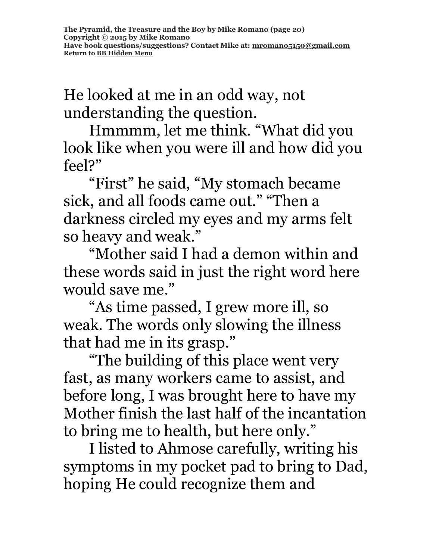He looked at me in an odd way, not understanding the question.

Hmmmm, let me think. "What did you look like when you were ill and how did you feel?"

"First" he said, "My stomach became sick, and all foods came out." "Then a darkness circled my eyes and my arms felt so heavy and weak."

"Mother said I had a demon within and these words said in just the right word here would save me."

"As time passed, I grew more ill, so weak. The words only slowing the illness that had me in its grasp."

"The building of this place went very fast, as many workers came to assist, and before long, I was brought here to have my Mother finish the last half of the incantation to bring me to health, but here only."

I listed to Ahmose carefully, writing his symptoms in my pocket pad to bring to Dad, hoping He could recognize them and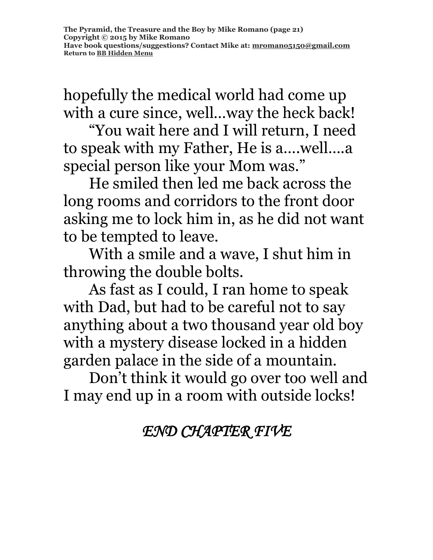hopefully the medical world had come up with a cure since, well…way the heck back!

"You wait here and I will return, I need to speak with my Father, He is a….well….a special person like your Mom was."

He smiled then led me back across the long rooms and corridors to the front door asking me to lock him in, as he did not want to be tempted to leave.

With a smile and a wave, I shut him in throwing the double bolts.

As fast as I could, I ran home to speak with Dad, but had to be careful not to say anything about a two thousand year old boy with a mystery disease locked in a hidden garden palace in the side of a mountain.

Don't think it would go over too well and I may end up in a room with outside locks!

*END CHAPTER FIVE*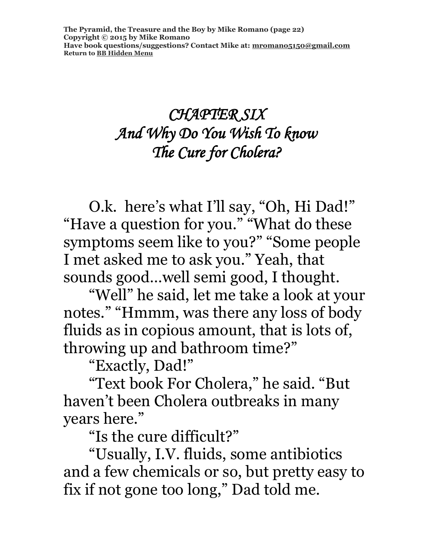# *CHAPTER SIX And Why Do You Wish To know The Cure for Cholera?*

O.k. here's what I'll say, "Oh, Hi Dad!" "Have a question for you." "What do these symptoms seem like to you?" "Some people I met asked me to ask you." Yeah, that sounds good…well semi good, I thought.

"Well" he said, let me take a look at your notes." "Hmmm, was there any loss of body fluids as in copious amount, that is lots of, throwing up and bathroom time?"

"Exactly, Dad!"

"Text book For Cholera," he said. "But haven't been Cholera outbreaks in many years here."

"Is the cure difficult?"

"Usually, I.V. fluids, some antibiotics and a few chemicals or so, but pretty easy to fix if not gone too long," Dad told me.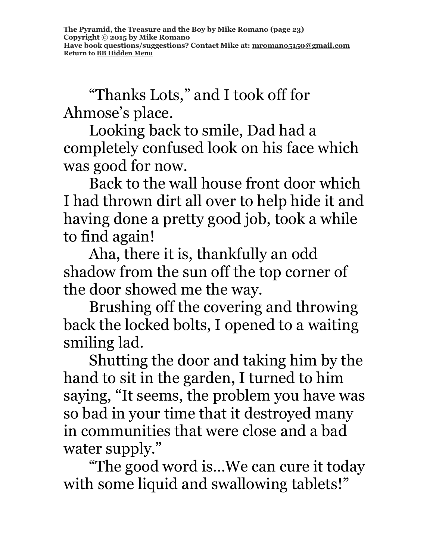"Thanks Lots," and I took off for Ahmose's place.

Looking back to smile, Dad had a completely confused look on his face which was good for now.

Back to the wall house front door which I had thrown dirt all over to help hide it and having done a pretty good job, took a while to find again!

Aha, there it is, thankfully an odd shadow from the sun off the top corner of the door showed me the way.

Brushing off the covering and throwing back the locked bolts, I opened to a waiting smiling lad.

Shutting the door and taking him by the hand to sit in the garden, I turned to him saying, "It seems, the problem you have was so bad in your time that it destroyed many in communities that were close and a bad water supply."

"The good word is…We can cure it today with some liquid and swallowing tablets!"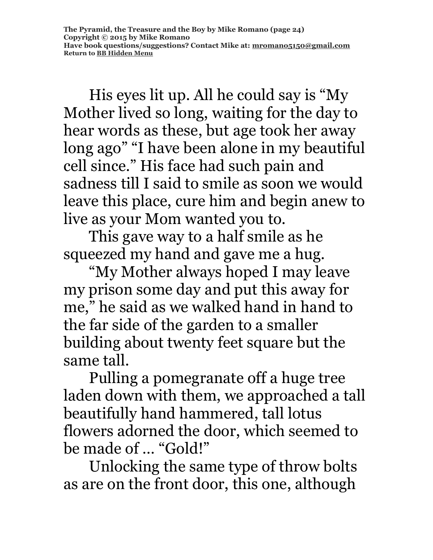**The Pyramid, the Treasure and the Boy by Mike Romano (page 24) Copyright © 2015 by Mike Romano Have book questions/suggestions? Contact Mike at: [mromano5150@gmail.com](mailto:mromano5150@gmail.com) Return t[o BB Hidden Menu](https://www.bartlettbiographies.com/hidden-menu)**

His eyes lit up. All he could say is "My Mother lived so long, waiting for the day to hear words as these, but age took her away long ago" "I have been alone in my beautiful cell since." His face had such pain and sadness till I said to smile as soon we would leave this place, cure him and begin anew to live as your Mom wanted you to.

This gave way to a half smile as he squeezed my hand and gave me a hug.

"My Mother always hoped I may leave my prison some day and put this away for me," he said as we walked hand in hand to the far side of the garden to a smaller building about twenty feet square but the same tall.

Pulling a pomegranate off a huge tree laden down with them, we approached a tall beautifully hand hammered, tall lotus flowers adorned the door, which seemed to be made of … "Gold!"

Unlocking the same type of throw bolts as are on the front door, this one, although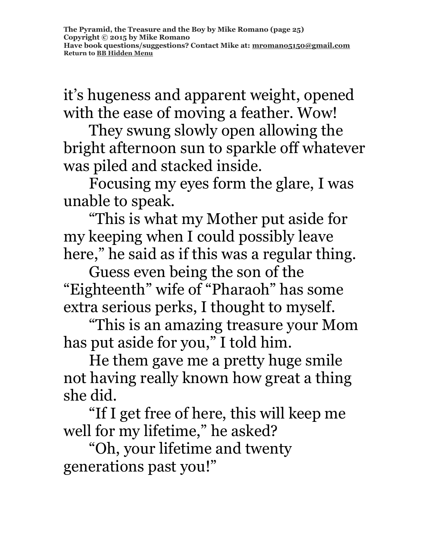it's hugeness and apparent weight, opened with the ease of moving a feather. Wow!

They swung slowly open allowing the bright afternoon sun to sparkle off whatever was piled and stacked inside.

Focusing my eyes form the glare, I was unable to speak.

"This is what my Mother put aside for my keeping when I could possibly leave here," he said as if this was a regular thing.

Guess even being the son of the "Eighteenth" wife of "Pharaoh" has some extra serious perks, I thought to myself.

"This is an amazing treasure your Mom has put aside for you," I told him.

He them gave me a pretty huge smile not having really known how great a thing she did.

"If I get free of here, this will keep me well for my lifetime," he asked?

"Oh, your lifetime and twenty generations past you!"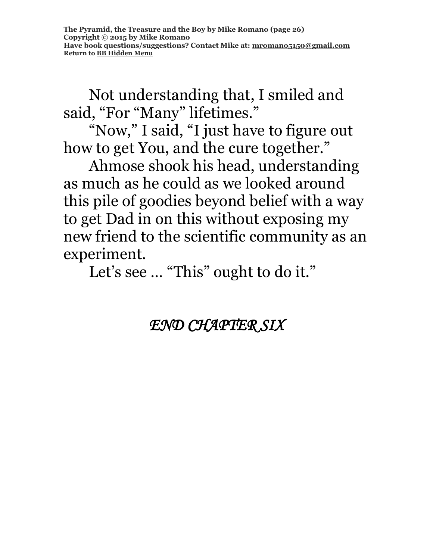Not understanding that, I smiled and said, "For "Many" lifetimes."

"Now," I said, "I just have to figure out how to get You, and the cure together."

Ahmose shook his head, understanding as much as he could as we looked around this pile of goodies beyond belief with a way to get Dad in on this without exposing my new friend to the scientific community as an experiment.

Let's see ... "This" ought to do it."

*END CHAPTER SIX*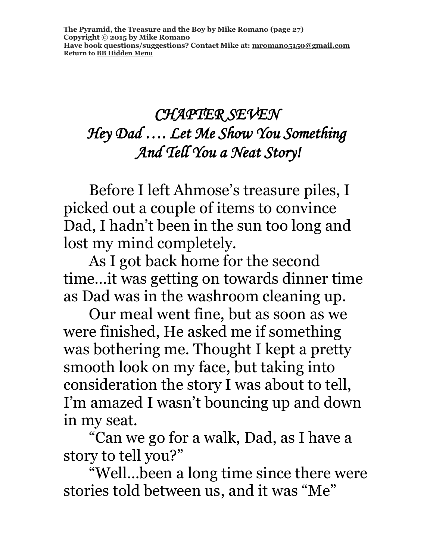# *CHAPTER SEVEN Hey Dad …. Let Me Show You Something And Tell You a Neat Story!*

Before I left Ahmose's treasure piles, I picked out a couple of items to convince Dad, I hadn't been in the sun too long and lost my mind completely.

As I got back home for the second time…it was getting on towards dinner time as Dad was in the washroom cleaning up.

Our meal went fine, but as soon as we were finished, He asked me if something was bothering me. Thought I kept a pretty smooth look on my face, but taking into consideration the story I was about to tell, I'm amazed I wasn't bouncing up and down in my seat.

"Can we go for a walk, Dad, as I have a story to tell you?"

"Well…been a long time since there were stories told between us, and it was "Me"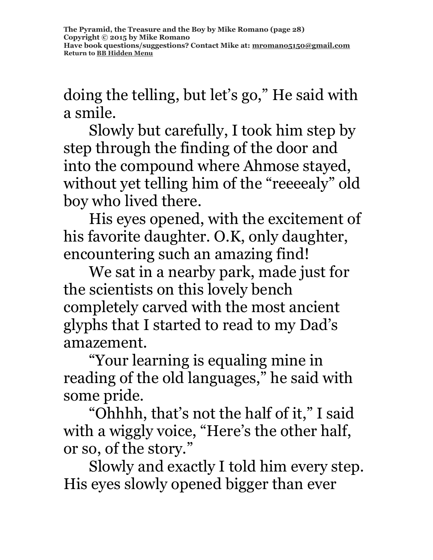doing the telling, but let's go," He said with a smile.

Slowly but carefully, I took him step by step through the finding of the door and into the compound where Ahmose stayed, without yet telling him of the "reeeealy" old boy who lived there.

His eyes opened, with the excitement of his favorite daughter. O.K, only daughter, encountering such an amazing find!

We sat in a nearby park, made just for the scientists on this lovely bench completely carved with the most ancient glyphs that I started to read to my Dad's amazement.

"Your learning is equaling mine in reading of the old languages," he said with some pride.

"Ohhhh, that's not the half of it," I said with a wiggly voice, "Here's the other half, or so, of the story."

Slowly and exactly I told him every step. His eyes slowly opened bigger than ever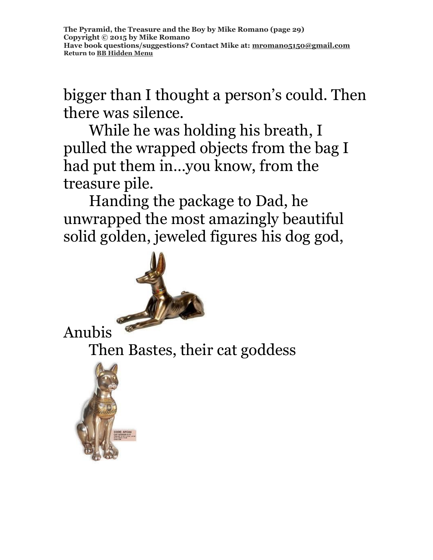**The Pyramid, the Treasure and the Boy by Mike Romano (page 29) Copyright © 2015 by Mike Romano Have book questions/suggestions? Contact Mike at: [mromano5150@gmail.com](mailto:mromano5150@gmail.com) Return t[o BB Hidden Menu](https://www.bartlettbiographies.com/hidden-menu)**

bigger than I thought a person's could. Then there was silence.

While he was holding his breath, I pulled the wrapped objects from the bag I had put them in…you know, from the treasure pile.

Handing the package to Dad, he unwrapped the most amazingly beautiful solid golden, jeweled figures his dog god,



Anubis

Then Bastes, their cat goddess

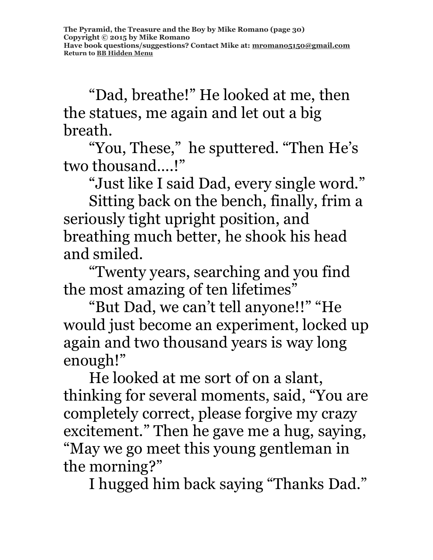"Dad, breathe!" He looked at me, then the statues, me again and let out a big breath.

"You, These," he sputtered. "Then He's two thousand….!"

"Just like I said Dad, every single word."

Sitting back on the bench, finally, frim a seriously tight upright position, and breathing much better, he shook his head and smiled.

"Twenty years, searching and you find the most amazing of ten lifetimes"

"But Dad, we can't tell anyone!!" "He would just become an experiment, locked up again and two thousand years is way long enough!"

He looked at me sort of on a slant, thinking for several moments, said, "You are completely correct, please forgive my crazy excitement." Then he gave me a hug, saying, "May we go meet this young gentleman in the morning?"

I hugged him back saying "Thanks Dad."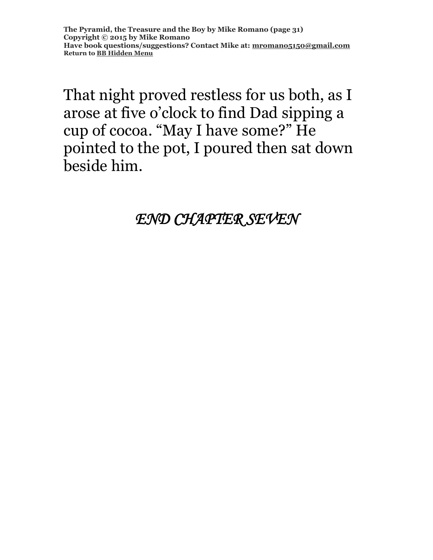**The Pyramid, the Treasure and the Boy by Mike Romano (page 31) Copyright © 2015 by Mike Romano Have book questions/suggestions? Contact Mike at: [mromano5150@gmail.com](mailto:mromano5150@gmail.com) Return t[o BB Hidden Menu](https://www.bartlettbiographies.com/hidden-menu)**

That night proved restless for us both, as I arose at five o'clock to find Dad sipping a cup of cocoa. "May I have some?" He pointed to the pot, I poured then sat down beside him.

*END CHAPTER SEVEN*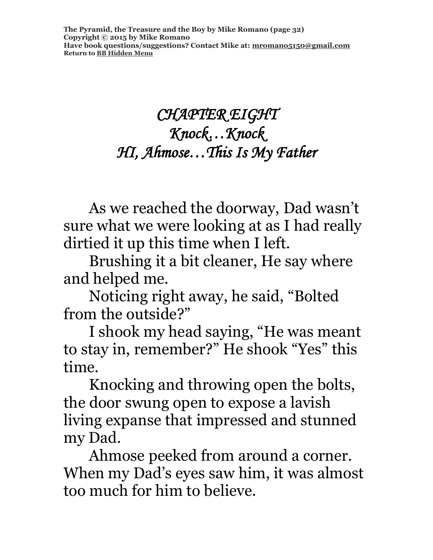# *CHAPTER EIGHT Knock…Knock HI, Ahmose…This Is My Father*

As we reached the doorway, Dad wasn't sure what we were looking at as I had really dirtied it up this time when I left.

Brushing it a bit cleaner, He say where and helped me.

Noticing right away, he said, "Bolted from the outside?"

I shook my head saying, "He was meant to stay in, remember?" He shook "Yes" this time.

Knocking and throwing open the bolts, the door swung open to expose a lavish living expanse that impressed and stunned my Dad.

Ahmose peeked from around a corner. When my Dad's eyes saw him, it was almost too much for him to believe.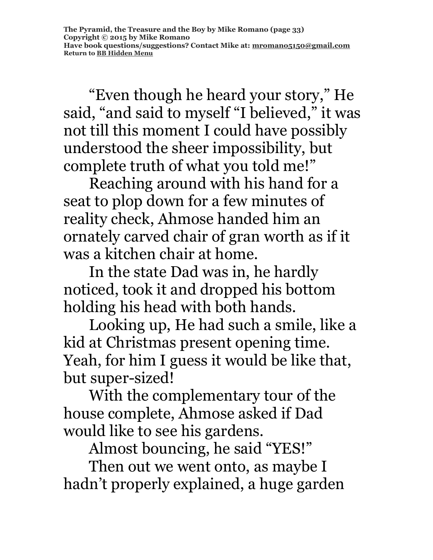"Even though he heard your story," He said, "and said to myself "I believed," it was not till this moment I could have possibly understood the sheer impossibility, but complete truth of what you told me!"

Reaching around with his hand for a seat to plop down for a few minutes of reality check, Ahmose handed him an ornately carved chair of gran worth as if it was a kitchen chair at home.

In the state Dad was in, he hardly noticed, took it and dropped his bottom holding his head with both hands.

Looking up, He had such a smile, like a kid at Christmas present opening time. Yeah, for him I guess it would be like that, but super-sized!

With the complementary tour of the house complete, Ahmose asked if Dad would like to see his gardens.

Almost bouncing, he said "YES!"

Then out we went onto, as maybe I hadn't properly explained, a huge garden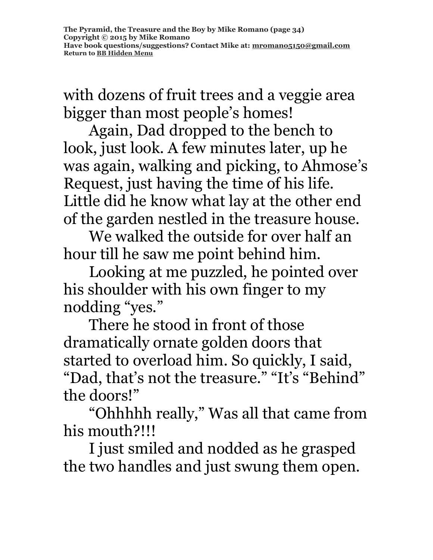with dozens of fruit trees and a veggie area bigger than most people's homes!

Again, Dad dropped to the bench to look, just look. A few minutes later, up he was again, walking and picking, to Ahmose's Request, just having the time of his life. Little did he know what lay at the other end of the garden nestled in the treasure house.

We walked the outside for over half an hour till he saw me point behind him.

Looking at me puzzled, he pointed over his shoulder with his own finger to my nodding "yes."

There he stood in front of those dramatically ornate golden doors that started to overload him. So quickly, I said, "Dad, that's not the treasure." "It's "Behind" the doors!"

"Ohhhhh really," Was all that came from his mouth?!!!

I just smiled and nodded as he grasped the two handles and just swung them open.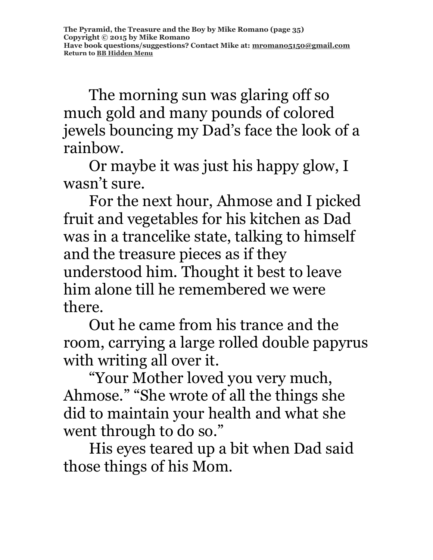The morning sun was glaring off so much gold and many pounds of colored jewels bouncing my Dad's face the look of a rainbow.

Or maybe it was just his happy glow, I wasn't sure.

For the next hour, Ahmose and I picked fruit and vegetables for his kitchen as Dad was in a trancelike state, talking to himself and the treasure pieces as if they understood him. Thought it best to leave him alone till he remembered we were there.

Out he came from his trance and the room, carrying a large rolled double papyrus with writing all over it.

"Your Mother loved you very much, Ahmose." "She wrote of all the things she did to maintain your health and what she went through to do so."

His eyes teared up a bit when Dad said those things of his Mom.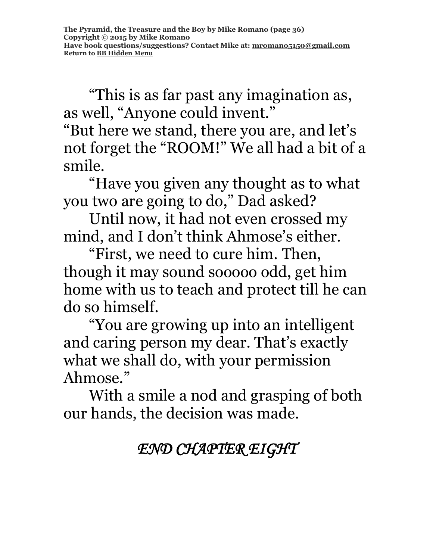"This is as far past any imagination as, as well, "Anyone could invent."

"But here we stand, there you are, and let's not forget the "ROOM!" We all had a bit of a smile.

"Have you given any thought as to what you two are going to do," Dad asked?

Until now, it had not even crossed my mind, and I don't think Ahmose's either.

"First, we need to cure him. Then, though it may sound sooooo odd, get him home with us to teach and protect till he can do so himself.

"You are growing up into an intelligent and caring person my dear. That's exactly what we shall do, with your permission Ahmose."

With a smile a nod and grasping of both our hands, the decision was made.

# *END CHAPTER EIGHT*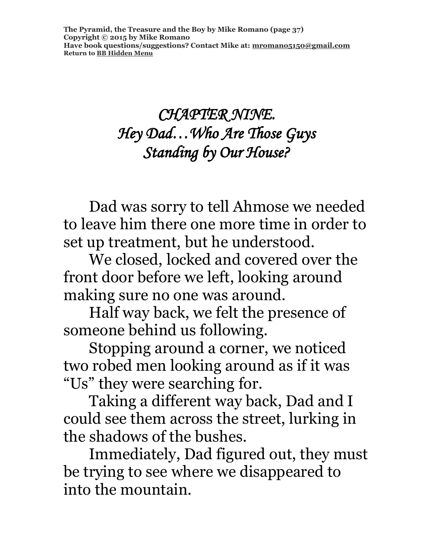# *CHAPTER NINE. Hey Dad…Who Are Those Guys Standing by Our House?*

Dad was sorry to tell Ahmose we needed to leave him there one more time in order to set up treatment, but he understood.

We closed, locked and covered over the front door before we left, looking around making sure no one was around.

Half way back, we felt the presence of someone behind us following.

Stopping around a corner, we noticed two robed men looking around as if it was "Us" they were searching for.

Taking a different way back, Dad and I could see them across the street, lurking in the shadows of the bushes.

Immediately, Dad figured out, they must be trying to see where we disappeared to into the mountain.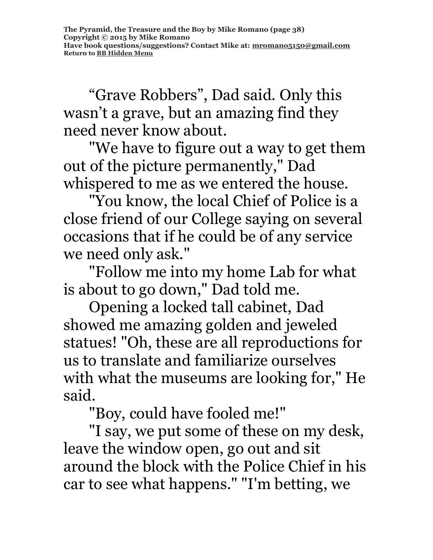"Grave Robbers", Dad said. Only this wasn't a grave, but an amazing find they need never know about.

"We have to figure out a way to get them out of the picture permanently," Dad whispered to me as we entered the house.

"You know, the local Chief of Police is a close friend of our College saying on several occasions that if he could be of any service we need only ask."

"Follow me into my home Lab for what is about to go down," Dad told me.

Opening a locked tall cabinet, Dad showed me amazing golden and jeweled statues! "Oh, these are all reproductions for us to translate and familiarize ourselves with what the museums are looking for," He said.

"Boy, could have fooled me!"

"I say, we put some of these on my desk, leave the window open, go out and sit around the block with the Police Chief in his car to see what happens." "I'm betting, we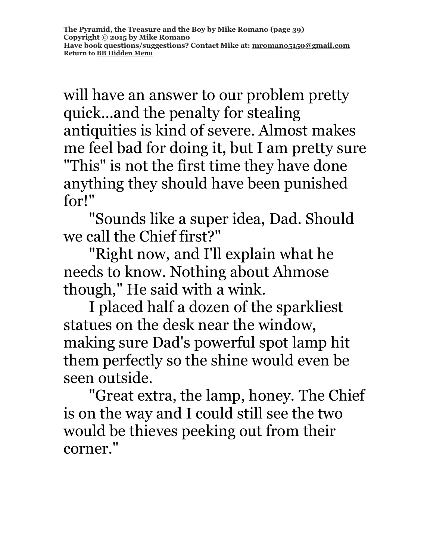will have an answer to our problem pretty quick...and the penalty for stealing antiquities is kind of severe. Almost makes me feel bad for doing it, but I am pretty sure

"This" is not the first time they have done anything they should have been punished for!"

"Sounds like a super idea, Dad. Should we call the Chief first?"

"Right now, and I'll explain what he needs to know. Nothing about Ahmose though," He said with a wink.

I placed half a dozen of the sparkliest statues on the desk near the window, making sure Dad's powerful spot lamp hit them perfectly so the shine would even be seen outside.

"Great extra, the lamp, honey. The Chief is on the way and I could still see the two would be thieves peeking out from their corner."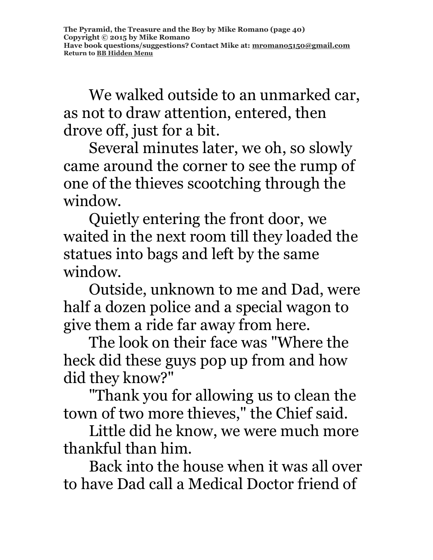We walked outside to an unmarked car, as not to draw attention, entered, then drove off, just for a bit.

Several minutes later, we oh, so slowly came around the corner to see the rump of one of the thieves scootching through the window.

Quietly entering the front door, we waited in the next room till they loaded the statues into bags and left by the same window.

Outside, unknown to me and Dad, were half a dozen police and a special wagon to give them a ride far away from here.

The look on their face was "Where the heck did these guys pop up from and how did they know?"

"Thank you for allowing us to clean the town of two more thieves," the Chief said.

Little did he know, we were much more thankful than him.

Back into the house when it was all over to have Dad call a Medical Doctor friend of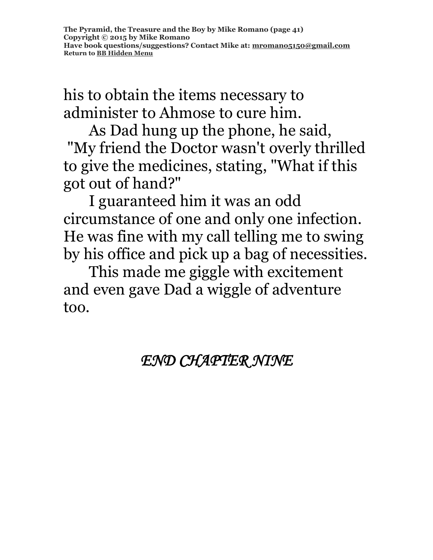his to obtain the items necessary to administer to Ahmose to cure him.

As Dad hung up the phone, he said, "My friend the Doctor wasn't overly thrilled to give the medicines, stating, "What if this got out of hand?"

I guaranteed him it was an odd circumstance of one and only one infection. He was fine with my call telling me to swing by his office and pick up a bag of necessities.

This made me giggle with excitement and even gave Dad a wiggle of adventure too.

### *END CHAPTER NINE*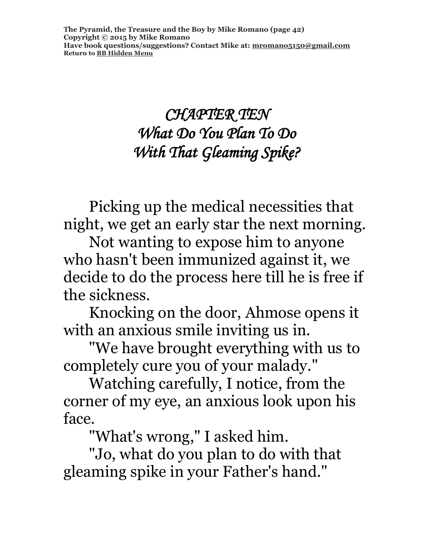# *CHAPTER TEN What Do You Plan To Do With That Gleaming Spike?*

Picking up the medical necessities that night, we get an early star the next morning.

Not wanting to expose him to anyone who hasn't been immunized against it, we decide to do the process here till he is free if the sickness.

Knocking on the door, Ahmose opens it with an anxious smile inviting us in.

"We have brought everything with us to completely cure you of your malady."

Watching carefully, I notice, from the corner of my eye, an anxious look upon his face.

"What's wrong," I asked him.

"Jo, what do you plan to do with that gleaming spike in your Father's hand."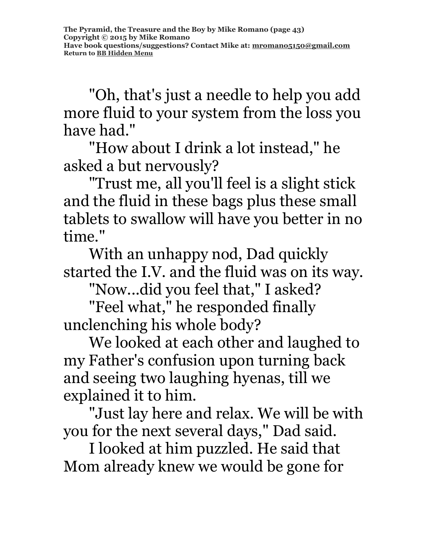"Oh, that's just a needle to help you add more fluid to your system from the loss you have had."

"How about I drink a lot instead," he asked a but nervously?

"Trust me, all you'll feel is a slight stick and the fluid in these bags plus these small tablets to swallow will have you better in no time."

With an unhappy nod, Dad quickly started the I.V. and the fluid was on its way.

"Now...did you feel that," I asked?

"Feel what," he responded finally unclenching his whole body?

We looked at each other and laughed to my Father's confusion upon turning back and seeing two laughing hyenas, till we explained it to him.

"Just lay here and relax. We will be with you for the next several days," Dad said.

I looked at him puzzled. He said that Mom already knew we would be gone for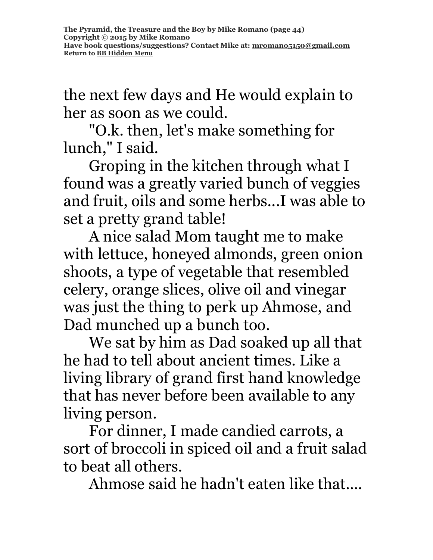the next few days and He would explain to her as soon as we could.

"O.k. then, let's make something for lunch," I said.

Groping in the kitchen through what I found was a greatly varied bunch of veggies and fruit, oils and some herbs...I was able to set a pretty grand table!

A nice salad Mom taught me to make with lettuce, honeyed almonds, green onion shoots, a type of vegetable that resembled celery, orange slices, olive oil and vinegar was just the thing to perk up Ahmose, and Dad munched up a bunch too.

We sat by him as Dad soaked up all that he had to tell about ancient times. Like a living library of grand first hand knowledge that has never before been available to any living person.

For dinner, I made candied carrots, a sort of broccoli in spiced oil and a fruit salad to beat all others.

Ahmose said he hadn't eaten like that....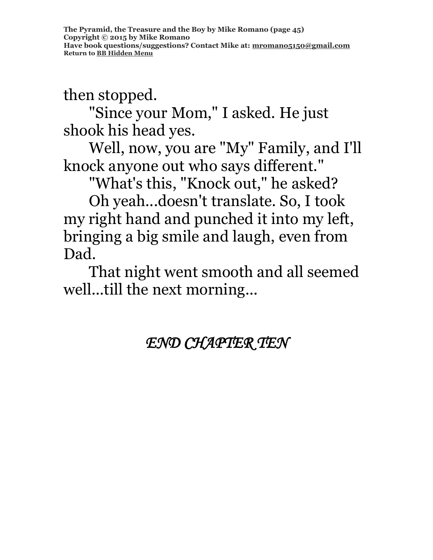**The Pyramid, the Treasure and the Boy by Mike Romano (page 45) Copyright © 2015 by Mike Romano Have book questions/suggestions? Contact Mike at: [mromano5150@gmail.com](mailto:mromano5150@gmail.com) Return t[o BB Hidden Menu](https://www.bartlettbiographies.com/hidden-menu)**

then stopped.

"Since your Mom," I asked. He just shook his head yes.

Well, now, you are "My" Family, and I'll knock anyone out who says different."

"What's this, "Knock out," he asked?

Oh yeah...doesn't translate. So, I took my right hand and punched it into my left, bringing a big smile and laugh, even from Dad.

That night went smooth and all seemed well...till the next morning...

### *END CHAPTER TEN*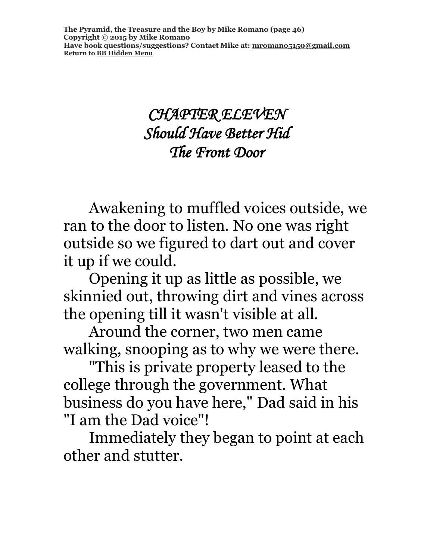### *CHAPTER ELEVEN Should Have Better Hid The Front Door*

Awakening to muffled voices outside, we ran to the door to listen. No one was right outside so we figured to dart out and cover it up if we could.

Opening it up as little as possible, we skinnied out, throwing dirt and vines across the opening till it wasn't visible at all.

Around the corner, two men came walking, snooping as to why we were there.

"This is private property leased to the college through the government. What business do you have here," Dad said in his "I am the Dad voice"!

Immediately they began to point at each other and stutter.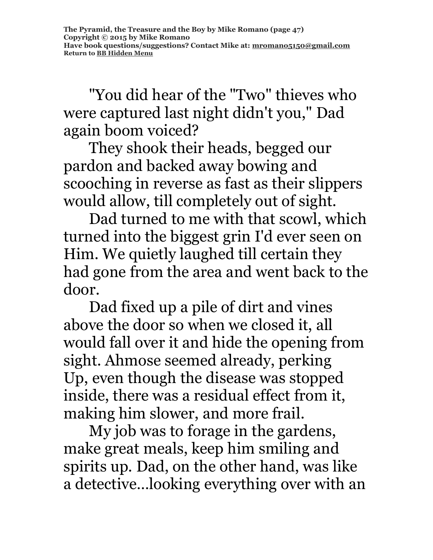"You did hear of the "Two" thieves who were captured last night didn't you," Dad again boom voiced?

They shook their heads, begged our pardon and backed away bowing and scooching in reverse as fast as their slippers would allow, till completely out of sight.

Dad turned to me with that scowl, which turned into the biggest grin I'd ever seen on Him. We quietly laughed till certain they had gone from the area and went back to the door.

Dad fixed up a pile of dirt and vines above the door so when we closed it, all would fall over it and hide the opening from sight. Ahmose seemed already, perking Up, even though the disease was stopped inside, there was a residual effect from it, making him slower, and more frail.

My job was to forage in the gardens, make great meals, keep him smiling and spirits up. Dad, on the other hand, was like a detective…looking everything over with an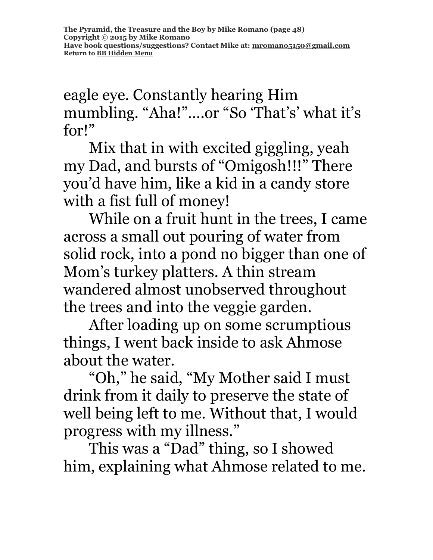eagle eye. Constantly hearing Him mumbling. "Aha!"….or "So 'That's' what it's for!"

Mix that in with excited giggling, yeah my Dad, and bursts of "Omigosh!!!" There you'd have him, like a kid in a candy store with a fist full of money!

While on a fruit hunt in the trees, I came across a small out pouring of water from solid rock, into a pond no bigger than one of Mom's turkey platters. A thin stream wandered almost unobserved throughout the trees and into the veggie garden.

After loading up on some scrumptious things, I went back inside to ask Ahmose about the water.

"Oh," he said, "My Mother said I must drink from it daily to preserve the state of well being left to me. Without that, I would progress with my illness."

This was a "Dad" thing, so I showed him, explaining what Ahmose related to me.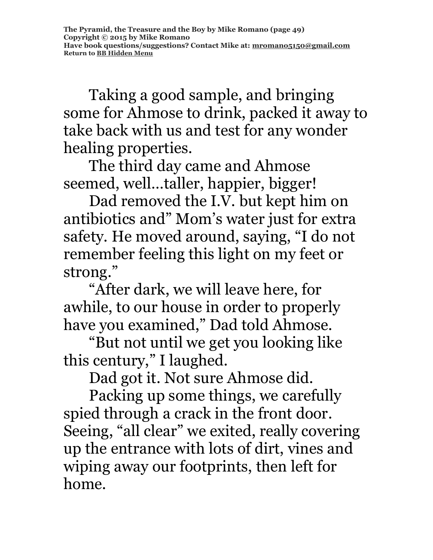Taking a good sample, and bringing some for Ahmose to drink, packed it away to take back with us and test for any wonder healing properties.

The third day came and Ahmose seemed, well…taller, happier, bigger!

Dad removed the I.V. but kept him on antibiotics and" Mom's water just for extra safety. He moved around, saying, "I do not remember feeling this light on my feet or strong."

"After dark, we will leave here, for awhile, to our house in order to properly have you examined," Dad told Ahmose.

"But not until we get you looking like this century," I laughed.

Dad got it. Not sure Ahmose did.

Packing up some things, we carefully spied through a crack in the front door. Seeing, "all clear" we exited, really covering up the entrance with lots of dirt, vines and wiping away our footprints, then left for home.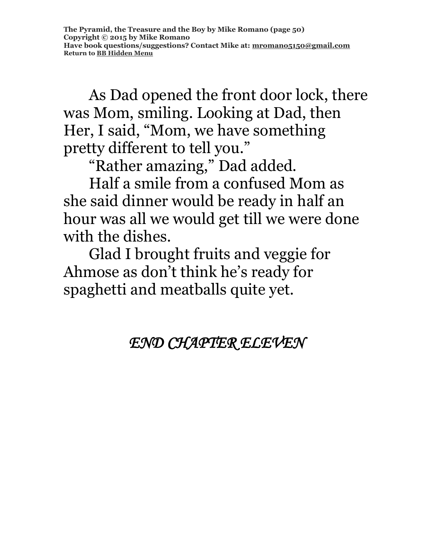As Dad opened the front door lock, there was Mom, smiling. Looking at Dad, then Her, I said, "Mom, we have something pretty different to tell you."

"Rather amazing," Dad added.

Half a smile from a confused Mom as she said dinner would be ready in half an hour was all we would get till we were done with the dishes.

Glad I brought fruits and veggie for Ahmose as don't think he's ready for spaghetti and meatballs quite yet.

### *END CHAPTER ELEVEN*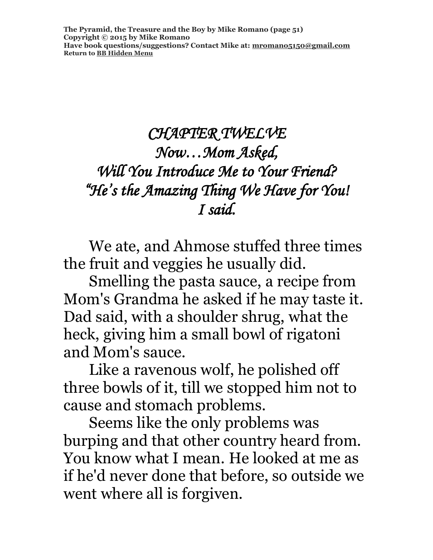**The Pyramid, the Treasure and the Boy by Mike Romano (page 51) Copyright © 2015 by Mike Romano Have book questions/suggestions? Contact Mike at: [mromano5150@gmail.com](mailto:mromano5150@gmail.com) Return t[o BB Hidden Menu](https://www.bartlettbiographies.com/hidden-menu)**

## *CHAPTER TWELVE Now…Mom Asked, Will You Introduce Me to Your Friend? "He's the Amazing Thing We Have for You! I said.*

We ate, and Ahmose stuffed three times the fruit and veggies he usually did.

Smelling the pasta sauce, a recipe from Mom's Grandma he asked if he may taste it. Dad said, with a shoulder shrug, what the heck, giving him a small bowl of rigatoni and Mom's sauce.

Like a ravenous wolf, he polished off three bowls of it, till we stopped him not to cause and stomach problems.

Seems like the only problems was burping and that other country heard from. You know what I mean. He looked at me as if he'd never done that before, so outside we went where all is forgiven.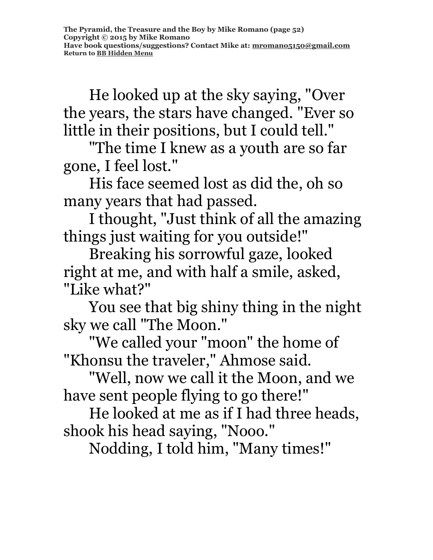He looked up at the sky saying, "Over the years, the stars have changed. "Ever so little in their positions, but I could tell."

"The time I knew as a youth are so far gone, I feel lost."

His face seemed lost as did the, oh so many years that had passed.

I thought, "Just think of all the amazing things just waiting for you outside!"

Breaking his sorrowful gaze, looked right at me, and with half a smile, asked, "Like what?"

You see that big shiny thing in the night sky we call "The Moon."

"We called your "moon" the home of "Khonsu the traveler," Ahmose said.

"Well, now we call it the Moon, and we have sent people flying to go there!"

He looked at me as if I had three heads, shook his head saying, "Nooo."

Nodding, I told him, "Many times!"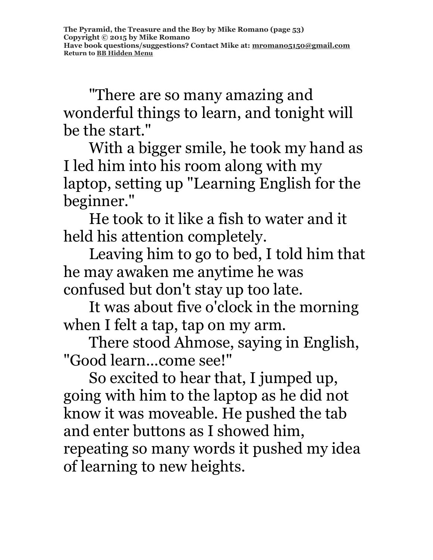"There are so many amazing and wonderful things to learn, and tonight will be the start."

With a bigger smile, he took my hand as I led him into his room along with my laptop, setting up "Learning English for the beginner."

He took to it like a fish to water and it held his attention completely.

Leaving him to go to bed, I told him that he may awaken me anytime he was confused but don't stay up too late.

It was about five o'clock in the morning when I felt a tap, tap on my arm.

There stood Ahmose, saying in English, "Good learn...come see!"

So excited to hear that, I jumped up, going with him to the laptop as he did not know it was moveable. He pushed the tab and enter buttons as I showed him, repeating so many words it pushed my idea of learning to new heights.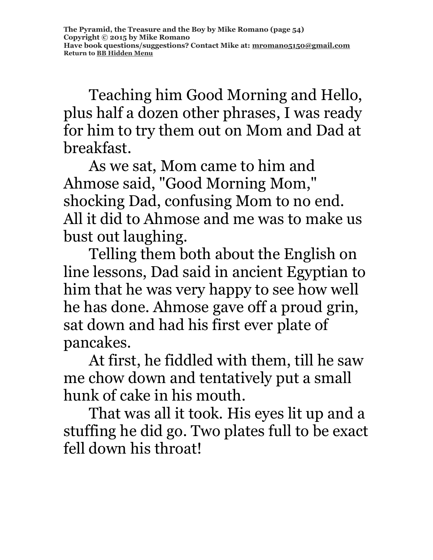Teaching him Good Morning and Hello, plus half a dozen other phrases, I was ready for him to try them out on Mom and Dad at breakfast.

As we sat, Mom came to him and Ahmose said, "Good Morning Mom," shocking Dad, confusing Mom to no end. All it did to Ahmose and me was to make us bust out laughing.

Telling them both about the English on line lessons, Dad said in ancient Egyptian to him that he was very happy to see how well he has done. Ahmose gave off a proud grin, sat down and had his first ever plate of pancakes.

At first, he fiddled with them, till he saw me chow down and tentatively put a small hunk of cake in his mouth.

That was all it took. His eyes lit up and a stuffing he did go. Two plates full to be exact fell down his throat!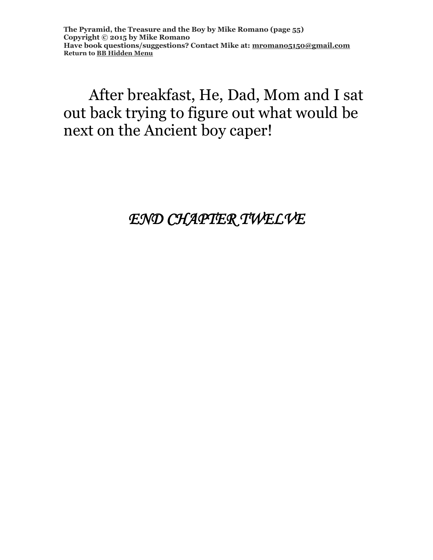**The Pyramid, the Treasure and the Boy by Mike Romano (page 55) Copyright © 2015 by Mike Romano Have book questions/suggestions? Contact Mike at: [mromano5150@gmail.com](mailto:mromano5150@gmail.com) Return t[o BB Hidden Menu](https://www.bartlettbiographies.com/hidden-menu)**

### After breakfast, He, Dad, Mom and I sat out back trying to figure out what would be next on the Ancient boy caper!

*END CHAPTER TWELVE*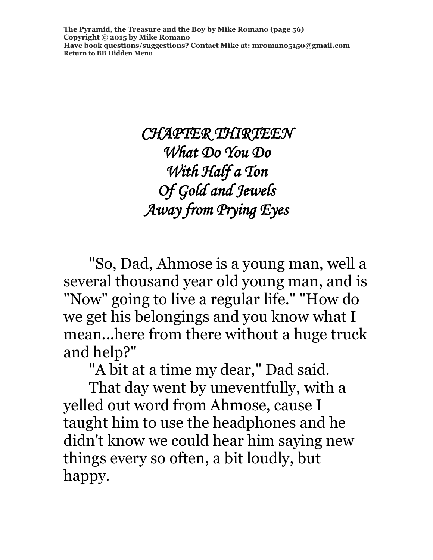**The Pyramid, the Treasure and the Boy by Mike Romano (page 56) Copyright © 2015 by Mike Romano Have book questions/suggestions? Contact Mike at: [mromano5150@gmail.com](mailto:mromano5150@gmail.com) Return t[o BB Hidden Menu](https://www.bartlettbiographies.com/hidden-menu)**

> *CHAPTER THIRTEEN What Do You Do With Half a Ton Of Gold and Jewels Away from Prying Eyes*

"So, Dad, Ahmose is a young man, well a several thousand year old young man, and is "Now" going to live a regular life." "How do we get his belongings and you know what I mean...here from there without a huge truck and help?"

"A bit at a time my dear," Dad said.

That day went by uneventfully, with a yelled out word from Ahmose, cause I taught him to use the headphones and he didn't know we could hear him saying new things every so often, a bit loudly, but happy.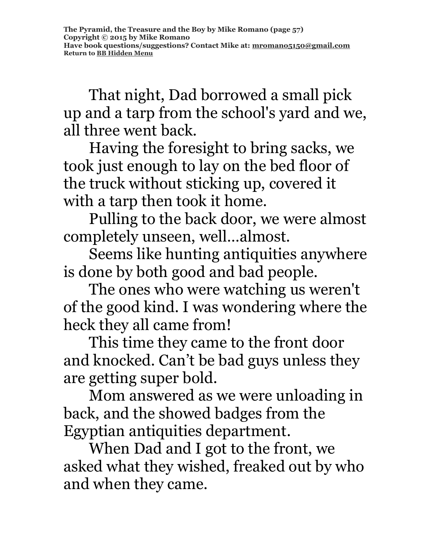That night, Dad borrowed a small pick up and a tarp from the school's yard and we, all three went back.

Having the foresight to bring sacks, we took just enough to lay on the bed floor of the truck without sticking up, covered it with a tarp then took it home.

Pulling to the back door, we were almost completely unseen, well…almost.

Seems like hunting antiquities anywhere is done by both good and bad people.

The ones who were watching us weren't of the good kind. I was wondering where the heck they all came from!

This time they came to the front door and knocked. Can't be bad guys unless they are getting super bold.

Mom answered as we were unloading in back, and the showed badges from the Egyptian antiquities department.

When Dad and I got to the front, we asked what they wished, freaked out by who and when they came.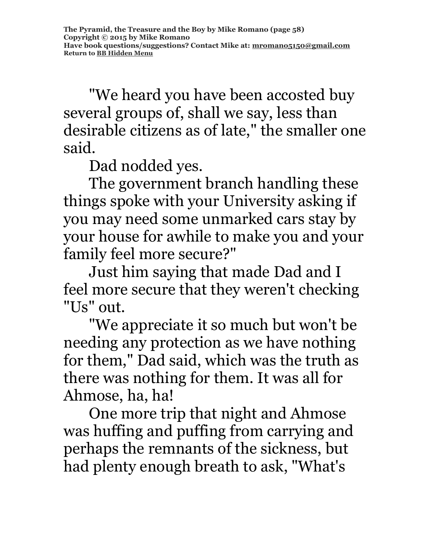"We heard you have been accosted buy several groups of, shall we say, less than desirable citizens as of late," the smaller one said.

Dad nodded yes.

The government branch handling these things spoke with your University asking if you may need some unmarked cars stay by your house for awhile to make you and your family feel more secure?"

Just him saying that made Dad and I feel more secure that they weren't checking "Us" out.

"We appreciate it so much but won't be needing any protection as we have nothing for them," Dad said, which was the truth as there was nothing for them. It was all for Ahmose, ha, ha!

One more trip that night and Ahmose was huffing and puffing from carrying and perhaps the remnants of the sickness, but had plenty enough breath to ask, "What's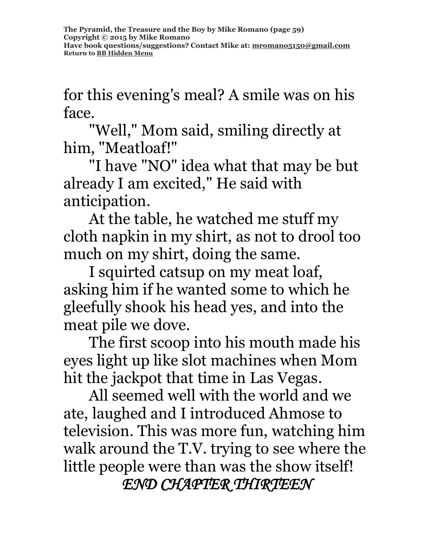for this evening's meal? A smile was on his face.

"Well," Mom said, smiling directly at him, "Meatloaf!"

"I have "NO" idea what that may be but already I am excited," He said with anticipation.

At the table, he watched me stuff my cloth napkin in my shirt, as not to drool too much on my shirt, doing the same.

I squirted catsup on my meat loaf, asking him if he wanted some to which he gleefully shook his head yes, and into the meat pile we dove.

The first scoop into his mouth made his eyes light up like slot machines when Mom hit the jackpot that time in Las Vegas.

All seemed well with the world and we ate, laughed and I introduced Ahmose to television. This was more fun, watching him walk around the T.V. trying to see where the little people were than was the show itself! *END CHAPTER THIRTEEN*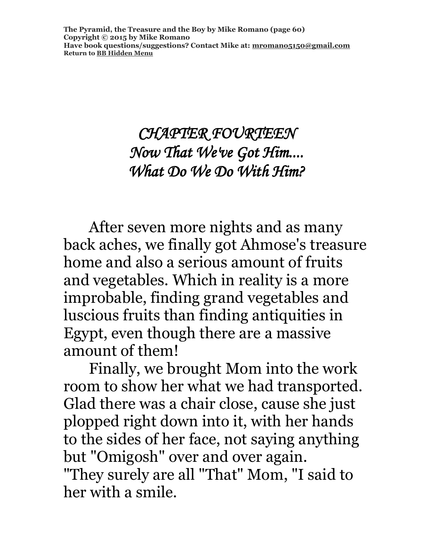**The Pyramid, the Treasure and the Boy by Mike Romano (page 60) Copyright © 2015 by Mike Romano Have book questions/suggestions? Contact Mike at: [mromano5150@gmail.com](mailto:mromano5150@gmail.com) Return t[o BB Hidden Menu](https://www.bartlettbiographies.com/hidden-menu)**

### *CHAPTER FOURTEEN Now That We've Got Him.... What Do We Do With Him?*

After seven more nights and as many back aches, we finally got Ahmose's treasure home and also a serious amount of fruits and vegetables. Which in reality is a more improbable, finding grand vegetables and luscious fruits than finding antiquities in Egypt, even though there are a massive amount of them!

Finally, we brought Mom into the work room to show her what we had transported. Glad there was a chair close, cause she just plopped right down into it, with her hands to the sides of her face, not saying anything but "Omigosh" over and over again. "They surely are all "That" Mom, "I said to her with a smile.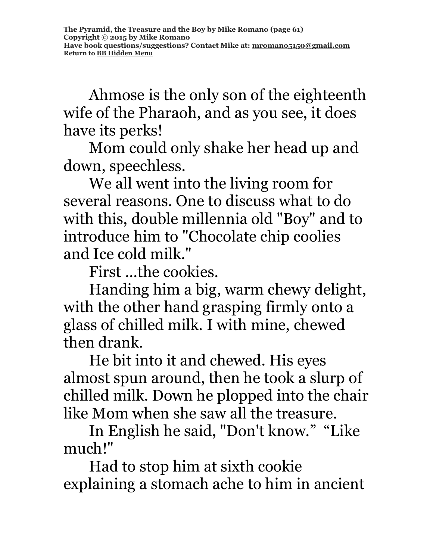Ahmose is the only son of the eighteenth wife of the Pharaoh, and as you see, it does have its perks!

Mom could only shake her head up and down, speechless.

We all went into the living room for several reasons. One to discuss what to do with this, double millennia old "Boy" and to introduce him to "Chocolate chip coolies and Ice cold milk."

First ...the cookies.

Handing him a big, warm chewy delight, with the other hand grasping firmly onto a glass of chilled milk. I with mine, chewed then drank.

He bit into it and chewed. His eyes almost spun around, then he took a slurp of chilled milk. Down he plopped into the chair like Mom when she saw all the treasure.

In English he said, "Don't know." "Like much!"

Had to stop him at sixth cookie explaining a stomach ache to him in ancient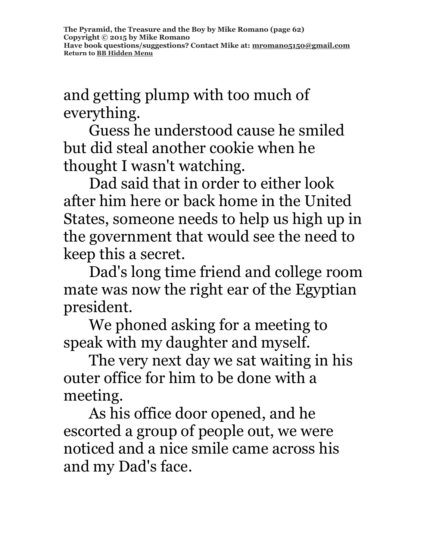and getting plump with too much of everything.

 Guess he understood cause he smiled but did steal another cookie when he thought I wasn't watching.

Dad said that in order to either look after him here or back home in the United States, someone needs to help us high up in the government that would see the need to keep this a secret.

Dad's long time friend and college room mate was now the right ear of the Egyptian president.

We phoned asking for a meeting to speak with my daughter and myself.

The very next day we sat waiting in his outer office for him to be done with a meeting.

As his office door opened, and he escorted a group of people out, we were noticed and a nice smile came across his and my Dad's face.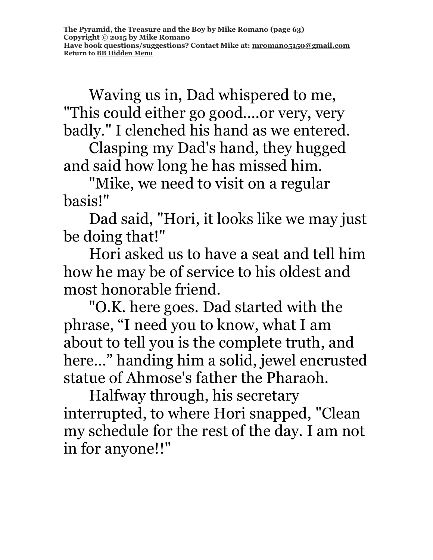Waving us in, Dad whispered to me, "This could either go good....or very, very badly." I clenched his hand as we entered.

Clasping my Dad's hand, they hugged and said how long he has missed him.

"Mike, we need to visit on a regular basis!"

Dad said, "Hori, it looks like we may just be doing that!"

Hori asked us to have a seat and tell him how he may be of service to his oldest and most honorable friend.

"O.K. here goes. Dad started with the phrase, "I need you to know, what I am about to tell you is the complete truth, and here…" handing him a solid, jewel encrusted statue of Ahmose's father the Pharaoh.

Halfway through, his secretary interrupted, to where Hori snapped, "Clean my schedule for the rest of the day. I am not in for anyone!!"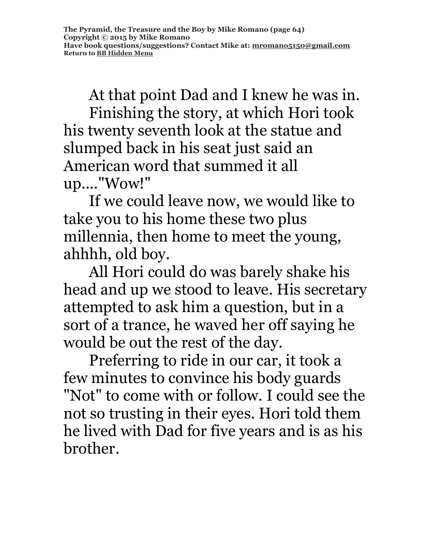At that point Dad and I knew he was in. Finishing the story, at which Hori took his twenty seventh look at the statue and slumped back in his seat just said an American word that summed it all up...."Wow!"

If we could leave now, we would like to take you to his home these two plus millennia, then home to meet the young, ahhhh, old boy.

All Hori could do was barely shake his head and up we stood to leave. His secretary attempted to ask him a question, but in a sort of a trance, he waved her off saying he would be out the rest of the day.

Preferring to ride in our car, it took a few minutes to convince his body guards "Not" to come with or follow. I could see the not so trusting in their eyes. Hori told them he lived with Dad for five years and is as his brother.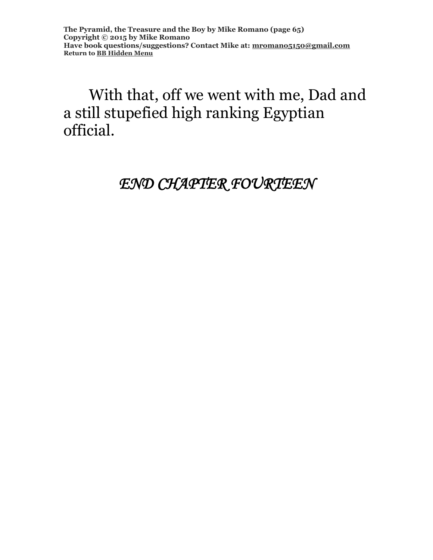**The Pyramid, the Treasure and the Boy by Mike Romano (page 65) Copyright © 2015 by Mike Romano Have book questions/suggestions? Contact Mike at: [mromano5150@gmail.com](mailto:mromano5150@gmail.com) Return t[o BB Hidden Menu](https://www.bartlettbiographies.com/hidden-menu)**

With that, off we went with me, Dad and a still stupefied high ranking Egyptian official.

#### *END CHAPTER FOURTEEN*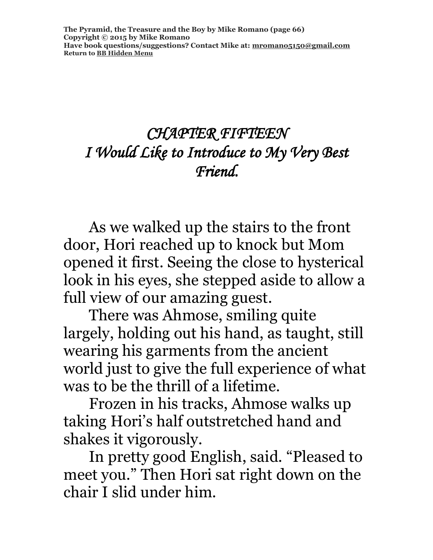**The Pyramid, the Treasure and the Boy by Mike Romano (page 66) Copyright © 2015 by Mike Romano Have book questions/suggestions? Contact Mike at: [mromano5150@gmail.com](mailto:mromano5150@gmail.com) Return t[o BB Hidden Menu](https://www.bartlettbiographies.com/hidden-menu)**

## *CHAPTER FIFTEEN I Would Like to Introduce to My Very Best Friend.*

As we walked up the stairs to the front door, Hori reached up to knock but Mom opened it first. Seeing the close to hysterical look in his eyes, she stepped aside to allow a full view of our amazing guest.

There was Ahmose, smiling quite largely, holding out his hand, as taught, still wearing his garments from the ancient world just to give the full experience of what was to be the thrill of a lifetime.

Frozen in his tracks, Ahmose walks up taking Hori's half outstretched hand and shakes it vigorously.

In pretty good English, said. "Pleased to meet you." Then Hori sat right down on the chair I slid under him.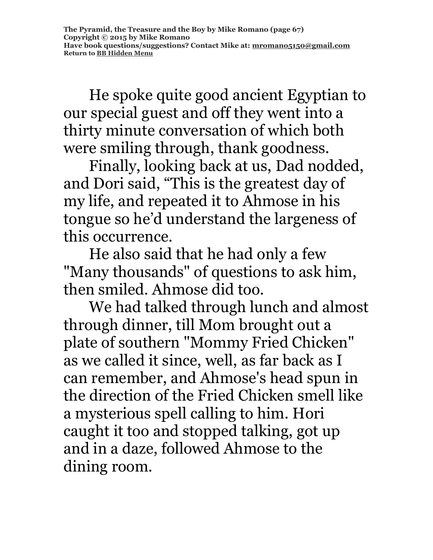He spoke quite good ancient Egyptian to our special guest and off they went into a thirty minute conversation of which both were smiling through, thank goodness.

Finally, looking back at us, Dad nodded, and Dori said, "This is the greatest day of my life, and repeated it to Ahmose in his tongue so he'd understand the largeness of this occurrence.

He also said that he had only a few "Many thousands" of questions to ask him, then smiled. Ahmose did too.

We had talked through lunch and almost through dinner, till Mom brought out a plate of southern "Mommy Fried Chicken" as we called it since, well, as far back as I can remember, and Ahmose's head spun in the direction of the Fried Chicken smell like a mysterious spell calling to him. Hori caught it too and stopped talking, got up and in a daze, followed Ahmose to the dining room.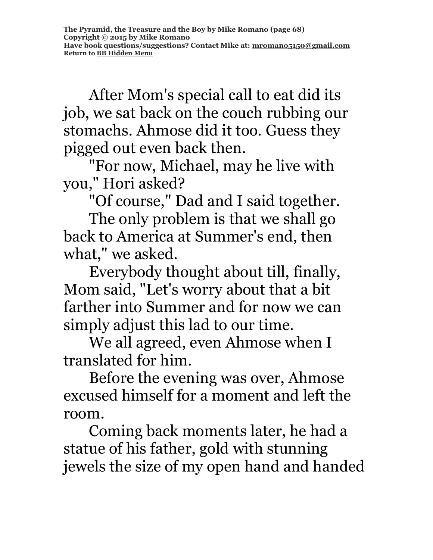After Mom's special call to eat did its job, we sat back on the couch rubbing our stomachs. Ahmose did it too. Guess they pigged out even back then.

"For now, Michael, may he live with you," Hori asked?

"Of course," Dad and I said together.

The only problem is that we shall go back to America at Summer's end, then what," we asked.

Everybody thought about till, finally, Mom said, "Let's worry about that a bit farther into Summer and for now we can simply adjust this lad to our time.

We all agreed, even Ahmose when I translated for him.

Before the evening was over, Ahmose excused himself for a moment and left the room.

Coming back moments later, he had a statue of his father, gold with stunning jewels the size of my open hand and handed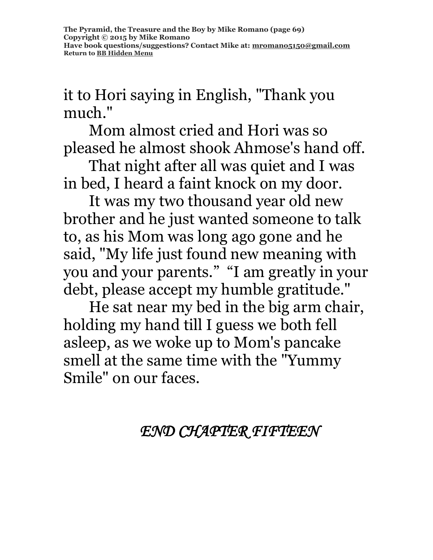**The Pyramid, the Treasure and the Boy by Mike Romano (page 69) Copyright © 2015 by Mike Romano Have book questions/suggestions? Contact Mike at: [mromano5150@gmail.com](mailto:mromano5150@gmail.com) Return t[o BB Hidden Menu](https://www.bartlettbiographies.com/hidden-menu)**

it to Hori saying in English, "Thank you much."

Mom almost cried and Hori was so pleased he almost shook Ahmose's hand off.

That night after all was quiet and I was in bed, I heard a faint knock on my door.

It was my two thousand year old new brother and he just wanted someone to talk to, as his Mom was long ago gone and he said, "My life just found new meaning with you and your parents." "I am greatly in your debt, please accept my humble gratitude."

He sat near my bed in the big arm chair, holding my hand till I guess we both fell asleep, as we woke up to Mom's pancake smell at the same time with the "Yummy Smile" on our faces.

*END CHAPTER FIFTEEN*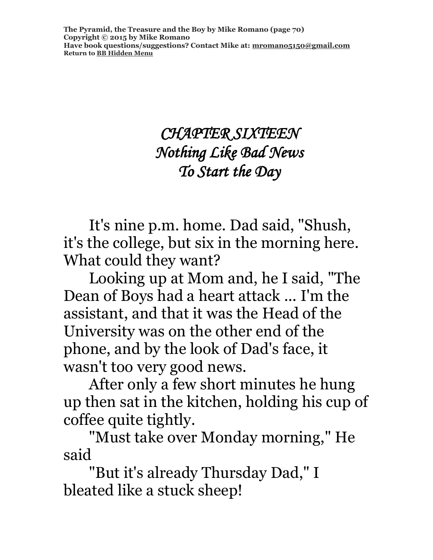**The Pyramid, the Treasure and the Boy by Mike Romano (page 70) Copyright © 2015 by Mike Romano Have book questions/suggestions? Contact Mike at: [mromano5150@gmail.com](mailto:mromano5150@gmail.com) Return t[o BB Hidden Menu](https://www.bartlettbiographies.com/hidden-menu)**

## *CHAPTER SIXTEEN Nothing Like Bad News To Start the Day*

It's nine p.m. home. Dad said, "Shush, it's the college, but six in the morning here. What could they want?

Looking up at Mom and, he I said, "The Dean of Boys had a heart attack ... I'm the assistant, and that it was the Head of the University was on the other end of the phone, and by the look of Dad's face, it wasn't too very good news.

After only a few short minutes he hung up then sat in the kitchen, holding his cup of coffee quite tightly.

"Must take over Monday morning," He said

"But it's already Thursday Dad," I bleated like a stuck sheep!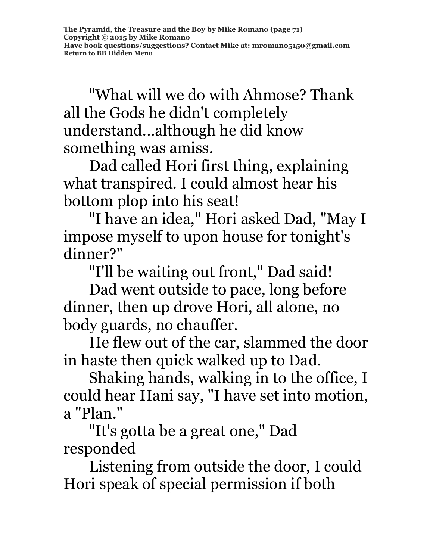"What will we do with Ahmose? Thank all the Gods he didn't completely understand...although he did know something was amiss.

Dad called Hori first thing, explaining what transpired. I could almost hear his bottom plop into his seat!

"I have an idea," Hori asked Dad, "May I impose myself to upon house for tonight's dinner?"

"I'll be waiting out front," Dad said!

Dad went outside to pace, long before dinner, then up drove Hori, all alone, no body guards, no chauffer.

He flew out of the car, slammed the door in haste then quick walked up to Dad.

Shaking hands, walking in to the office, I could hear Hani say, "I have set into motion, a "Plan."

"It's gotta be a great one," Dad responded

Listening from outside the door, I could Hori speak of special permission if both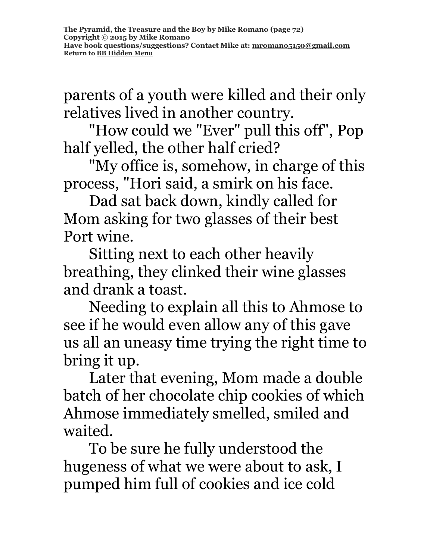parents of a youth were killed and their only relatives lived in another country.

"How could we "Ever" pull this off", Pop half yelled, the other half cried?

"My office is, somehow, in charge of this process, "Hori said, a smirk on his face.

Dad sat back down, kindly called for Mom asking for two glasses of their best Port wine.

Sitting next to each other heavily breathing, they clinked their wine glasses and drank a toast.

Needing to explain all this to Ahmose to see if he would even allow any of this gave us all an uneasy time trying the right time to bring it up.

Later that evening, Mom made a double batch of her chocolate chip cookies of which Ahmose immediately smelled, smiled and waited.

To be sure he fully understood the hugeness of what we were about to ask, I pumped him full of cookies and ice cold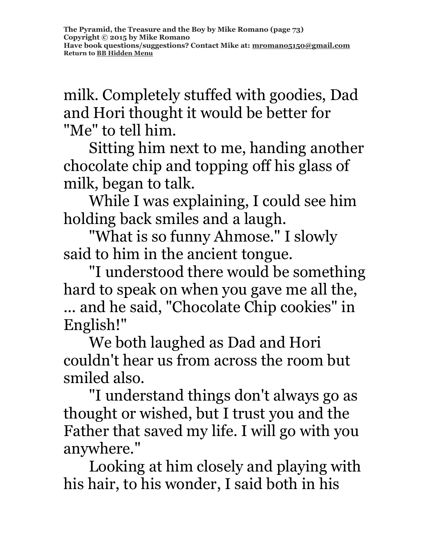milk. Completely stuffed with goodies, Dad and Hori thought it would be better for "Me" to tell him.

Sitting him next to me, handing another chocolate chip and topping off his glass of milk, began to talk.

While I was explaining, I could see him holding back smiles and a laugh.

"What is so funny Ahmose." I slowly said to him in the ancient tongue.

"I understood there would be something hard to speak on when you gave me all the, ... and he said, "Chocolate Chip cookies" in English!"

We both laughed as Dad and Hori couldn't hear us from across the room but smiled also.

"I understand things don't always go as thought or wished, but I trust you and the Father that saved my life. I will go with you anywhere."

Looking at him closely and playing with his hair, to his wonder, I said both in his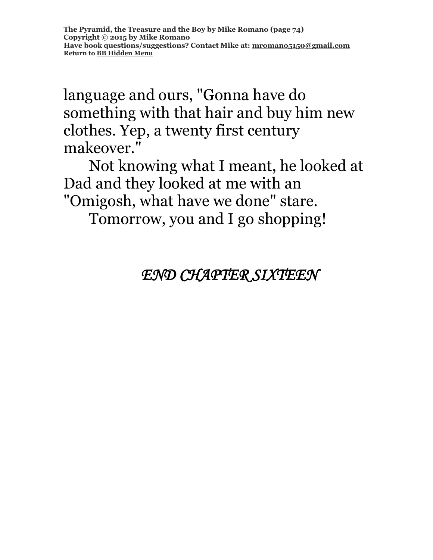**The Pyramid, the Treasure and the Boy by Mike Romano (page 74) Copyright © 2015 by Mike Romano Have book questions/suggestions? Contact Mike at: [mromano5150@gmail.com](mailto:mromano5150@gmail.com) Return t[o BB Hidden Menu](https://www.bartlettbiographies.com/hidden-menu)**

language and ours, "Gonna have do something with that hair and buy him new clothes. Yep, a twenty first century makeover."

Not knowing what I meant, he looked at Dad and they looked at me with an "Omigosh, what have we done" stare.

Tomorrow, you and I go shopping!

*END CHAPTER SIXTEEN*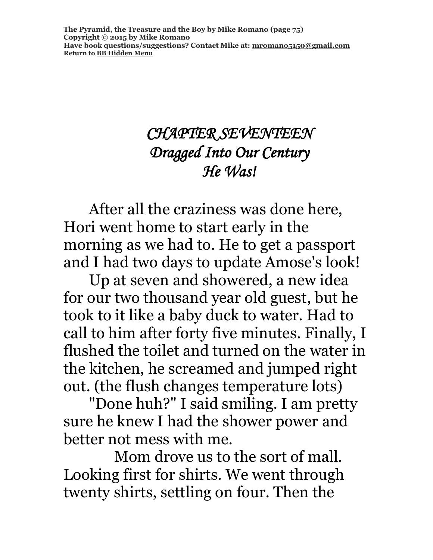**The Pyramid, the Treasure and the Boy by Mike Romano (page 75) Copyright © 2015 by Mike Romano Have book questions/suggestions? Contact Mike at: [mromano5150@gmail.com](mailto:mromano5150@gmail.com) Return t[o BB Hidden Menu](https://www.bartlettbiographies.com/hidden-menu)**

### *CHAPTER SEVENTEEN Dragged Into Our Century He Was!*

After all the craziness was done here, Hori went home to start early in the morning as we had to. He to get a passport and I had two days to update Amose's look!

Up at seven and showered, a new idea for our two thousand year old guest, but he took to it like a baby duck to water. Had to call to him after forty five minutes. Finally, I flushed the toilet and turned on the water in the kitchen, he screamed and jumped right out. (the flush changes temperature lots)

"Done huh?" I said smiling. I am pretty sure he knew I had the shower power and better not mess with me.

Mom drove us to the sort of mall. Looking first for shirts. We went through twenty shirts, settling on four. Then the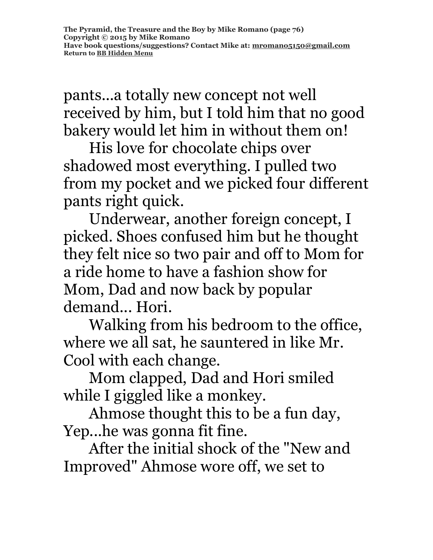pants...a totally new concept not well received by him, but I told him that no good bakery would let him in without them on!

His love for chocolate chips over shadowed most everything. I pulled two from my pocket and we picked four different pants right quick.

Underwear, another foreign concept, I picked. Shoes confused him but he thought they felt nice so two pair and off to Mom for a ride home to have a fashion show for Mom, Dad and now back by popular demand... Hori.

Walking from his bedroom to the office, where we all sat, he sauntered in like Mr. Cool with each change.

Mom clapped, Dad and Hori smiled while I giggled like a monkey.

Ahmose thought this to be a fun day, Yep...he was gonna fit fine.

After the initial shock of the "New and Improved" Ahmose wore off, we set to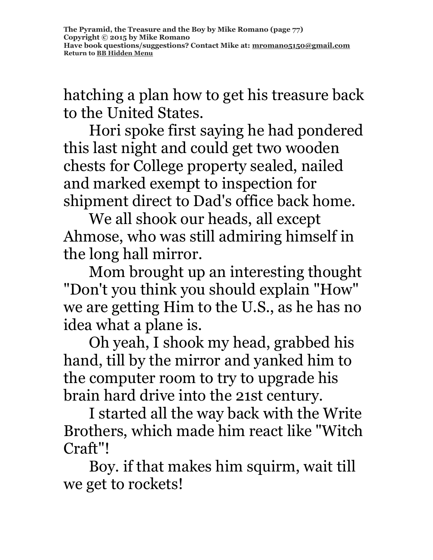hatching a plan how to get his treasure back to the United States.

Hori spoke first saying he had pondered this last night and could get two wooden chests for College property sealed, nailed and marked exempt to inspection for shipment direct to Dad's office back home.

We all shook our heads, all except Ahmose, who was still admiring himself in the long hall mirror.

Mom brought up an interesting thought "Don't you think you should explain "How" we are getting Him to the U.S., as he has no idea what a plane is.

Oh yeah, I shook my head, grabbed his hand, till by the mirror and yanked him to the computer room to try to upgrade his brain hard drive into the 21st century.

I started all the way back with the Write Brothers, which made him react like "Witch Craft"!

Boy. if that makes him squirm, wait till we get to rockets!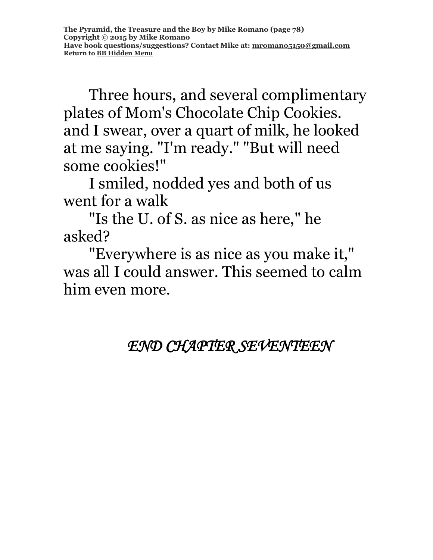Three hours, and several complimentary plates of Mom's Chocolate Chip Cookies. and I swear, over a quart of milk, he looked at me saying. "I'm ready." "But will need some cookies!"

I smiled, nodded yes and both of us went for a walk

"Is the U. of S. as nice as here," he asked?

"Everywhere is as nice as you make it," was all I could answer. This seemed to calm him even more.

#### *END CHAPTER SEVENTEEN*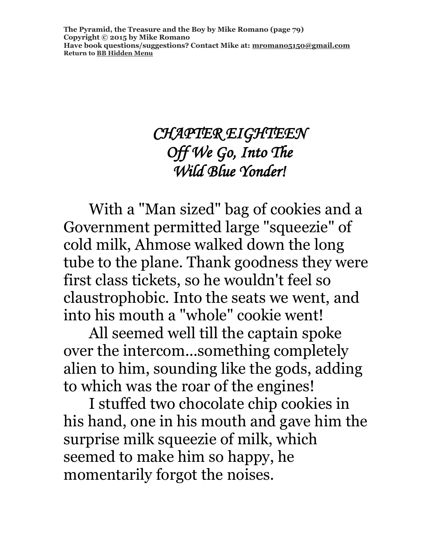**The Pyramid, the Treasure and the Boy by Mike Romano (page 79) Copyright © 2015 by Mike Romano Have book questions/suggestions? Contact Mike at: [mromano5150@gmail.com](mailto:mromano5150@gmail.com) Return t[o BB Hidden Menu](https://www.bartlettbiographies.com/hidden-menu)**

### *CHAPTER EIGHTEEN Off We Go, Into The Wild Blue Yonder!*

With a "Man sized" bag of cookies and a Government permitted large "squeezie" of cold milk, Ahmose walked down the long tube to the plane. Thank goodness they were first class tickets, so he wouldn't feel so claustrophobic. Into the seats we went, and into his mouth a "whole" cookie went!

All seemed well till the captain spoke over the intercom...something completely alien to him, sounding like the gods, adding to which was the roar of the engines!

I stuffed two chocolate chip cookies in his hand, one in his mouth and gave him the surprise milk squeezie of milk, which seemed to make him so happy, he momentarily forgot the noises.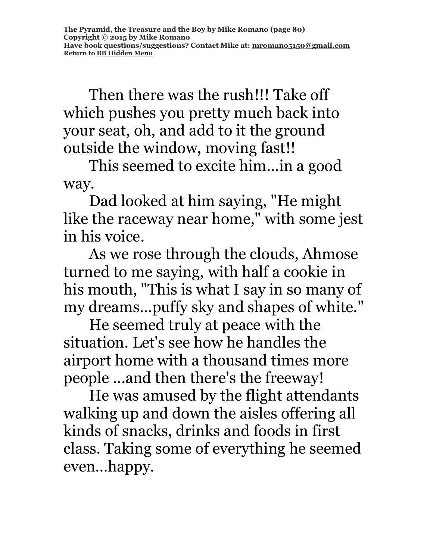Then there was the rush!!! Take off which pushes you pretty much back into your seat, oh, and add to it the ground outside the window, moving fast!!

This seemed to excite him...in a good way.

Dad looked at him saying, "He might like the raceway near home," with some jest in his voice.

As we rose through the clouds, Ahmose turned to me saying, with half a cookie in his mouth, "This is what I say in so many of my dreams...puffy sky and shapes of white."

He seemed truly at peace with the situation. Let's see how he handles the airport home with a thousand times more people ...and then there's the freeway!

He was amused by the flight attendants walking up and down the aisles offering all kinds of snacks, drinks and foods in first class. Taking some of everything he seemed even…happy.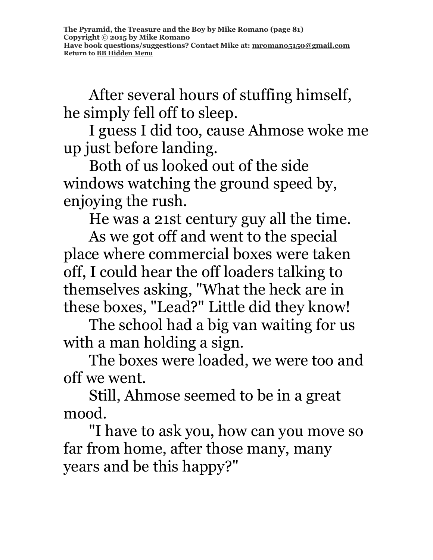After several hours of stuffing himself, he simply fell off to sleep.

I guess I did too, cause Ahmose woke me up just before landing.

Both of us looked out of the side windows watching the ground speed by, enjoying the rush.

He was a 21st century guy all the time.

As we got off and went to the special place where commercial boxes were taken off, I could hear the off loaders talking to themselves asking, "What the heck are in these boxes, "Lead?" Little did they know!

The school had a big van waiting for us with a man holding a sign.

The boxes were loaded, we were too and off we went.

Still, Ahmose seemed to be in a great mood.

"I have to ask you, how can you move so far from home, after those many, many years and be this happy?"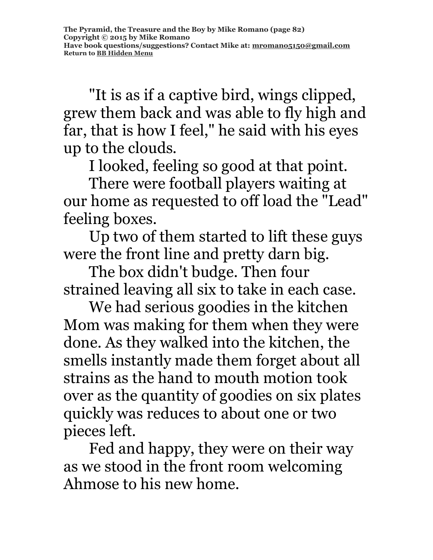"It is as if a captive bird, wings clipped, grew them back and was able to fly high and far, that is how I feel," he said with his eyes up to the clouds.

I looked, feeling so good at that point.

There were football players waiting at our home as requested to off load the "Lead" feeling boxes.

Up two of them started to lift these guys were the front line and pretty darn big.

The box didn't budge. Then four strained leaving all six to take in each case.

We had serious goodies in the kitchen Mom was making for them when they were done. As they walked into the kitchen, the smells instantly made them forget about all strains as the hand to mouth motion took over as the quantity of goodies on six plates quickly was reduces to about one or two pieces left.

Fed and happy, they were on their way as we stood in the front room welcoming Ahmose to his new home.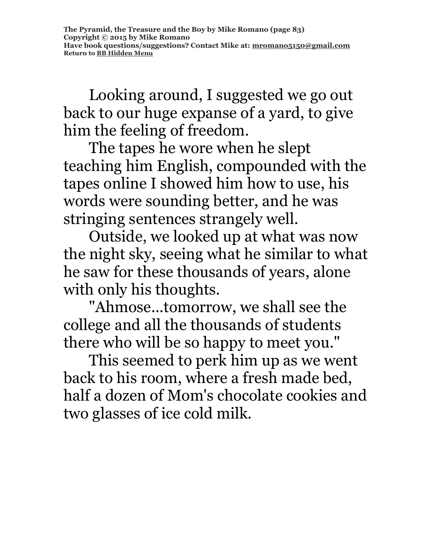Looking around, I suggested we go out back to our huge expanse of a yard, to give him the feeling of freedom.

The tapes he wore when he slept teaching him English, compounded with the tapes online I showed him how to use, his words were sounding better, and he was stringing sentences strangely well.

Outside, we looked up at what was now the night sky, seeing what he similar to what he saw for these thousands of years, alone with only his thoughts.

"Ahmose...tomorrow, we shall see the college and all the thousands of students there who will be so happy to meet you."

This seemed to perk him up as we went back to his room, where a fresh made bed, half a dozen of Mom's chocolate cookies and two glasses of ice cold milk.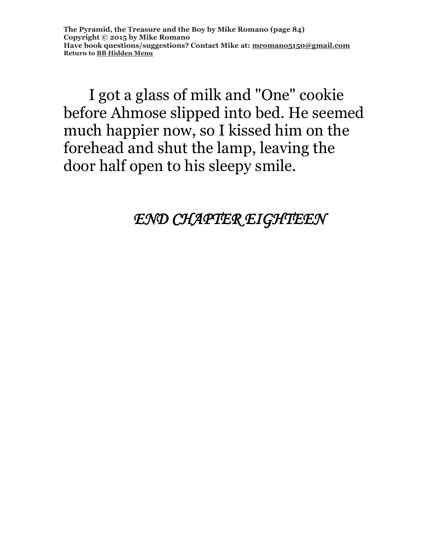**The Pyramid, the Treasure and the Boy by Mike Romano (page 84) Copyright © 2015 by Mike Romano Have book questions/suggestions? Contact Mike at: [mromano5150@gmail.com](mailto:mromano5150@gmail.com) Return t[o BB Hidden Menu](https://www.bartlettbiographies.com/hidden-menu)**

I got a glass of milk and "One" cookie before Ahmose slipped into bed. He seemed much happier now, so I kissed him on the forehead and shut the lamp, leaving the door half open to his sleepy smile.

*END CHAPTER EIGHTEEN*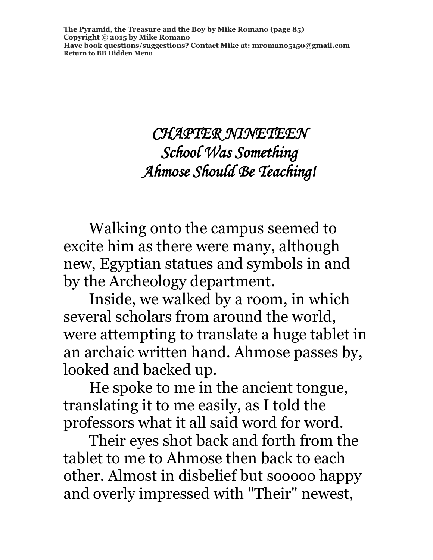**The Pyramid, the Treasure and the Boy by Mike Romano (page 85) Copyright © 2015 by Mike Romano Have book questions/suggestions? Contact Mike at: [mromano5150@gmail.com](mailto:mromano5150@gmail.com) Return t[o BB Hidden Menu](https://www.bartlettbiographies.com/hidden-menu)**

## *CHAPTER NINETEEN School Was Something Ahmose Should Be Teaching!*

Walking onto the campus seemed to excite him as there were many, although new, Egyptian statues and symbols in and by the Archeology department.

Inside, we walked by a room, in which several scholars from around the world, were attempting to translate a huge tablet in an archaic written hand. Ahmose passes by, looked and backed up.

He spoke to me in the ancient tongue, translating it to me easily, as I told the professors what it all said word for word.

Their eyes shot back and forth from the tablet to me to Ahmose then back to each other. Almost in disbelief but sooooo happy and overly impressed with "Their" newest,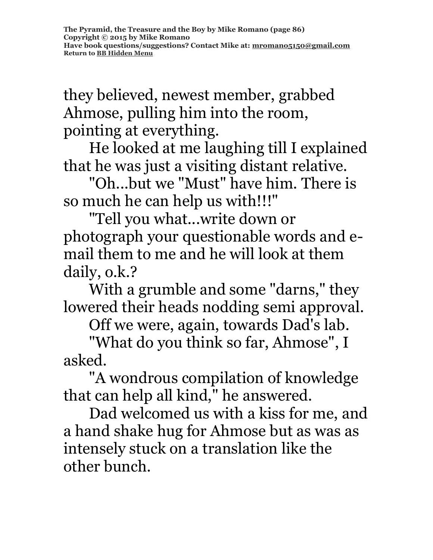**The Pyramid, the Treasure and the Boy by Mike Romano (page 86) Copyright © 2015 by Mike Romano Have book questions/suggestions? Contact Mike at: [mromano5150@gmail.com](mailto:mromano5150@gmail.com) Return t[o BB Hidden Menu](https://www.bartlettbiographies.com/hidden-menu)**

they believed, newest member, grabbed Ahmose, pulling him into the room, pointing at everything.

He looked at me laughing till I explained that he was just a visiting distant relative.

"Oh...but we "Must" have him. There is so much he can help us with!!!"

"Tell you what...write down or photograph your questionable words and email them to me and he will look at them daily, o.k.?

With a grumble and some "darns," they lowered their heads nodding semi approval.

Off we were, again, towards Dad's lab.

"What do you think so far, Ahmose", I asked.

"A wondrous compilation of knowledge that can help all kind," he answered.

Dad welcomed us with a kiss for me, and a hand shake hug for Ahmose but as was as intensely stuck on a translation like the other bunch.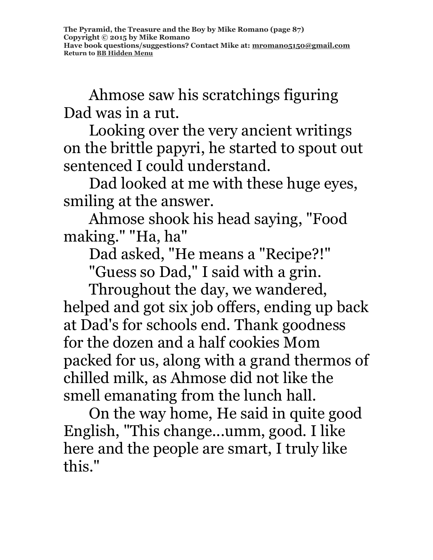Ahmose saw his scratchings figuring Dad was in a rut.

Looking over the very ancient writings on the brittle papyri, he started to spout out sentenced I could understand.

Dad looked at me with these huge eyes, smiling at the answer.

Ahmose shook his head saying, "Food making." "Ha, ha"

Dad asked, "He means a "Recipe?!"

"Guess so Dad," I said with a grin.

Throughout the day, we wandered, helped and got six job offers, ending up back at Dad's for schools end. Thank goodness for the dozen and a half cookies Mom packed for us, along with a grand thermos of chilled milk, as Ahmose did not like the smell emanating from the lunch hall.

On the way home, He said in quite good English, "This change...umm, good. I like here and the people are smart, I truly like this."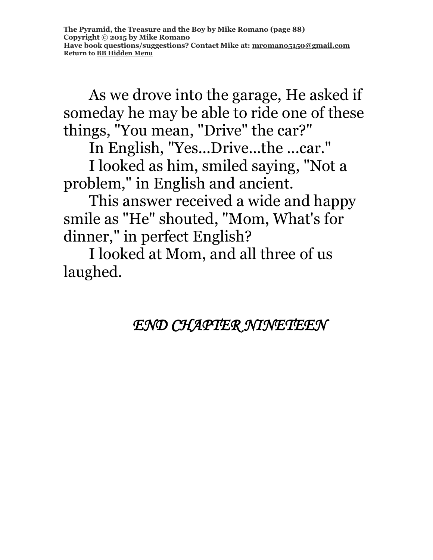As we drove into the garage, He asked if someday he may be able to ride one of these things, "You mean, "Drive" the car?"

In English, "Yes...Drive...the ...car."

I looked as him, smiled saying, "Not a problem," in English and ancient.

This answer received a wide and happy smile as "He" shouted, "Mom, What's for dinner," in perfect English?

I looked at Mom, and all three of us laughed.

#### *END CHAPTER NINETEEN*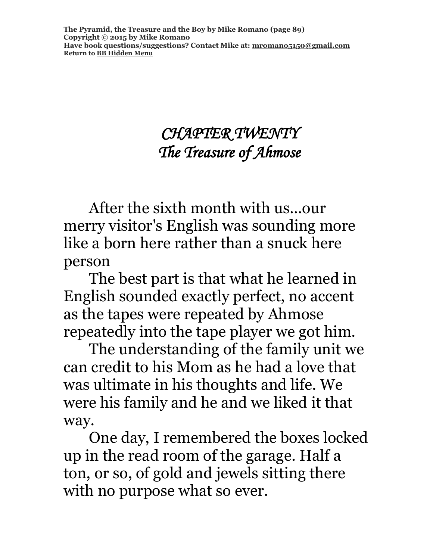# *CHAPTER TWENTY The Treasure of Ahmose*

After the sixth month with us...our merry visitor's English was sounding more like a born here rather than a snuck here person

The best part is that what he learned in English sounded exactly perfect, no accent as the tapes were repeated by Ahmose repeatedly into the tape player we got him.

The understanding of the family unit we can credit to his Mom as he had a love that was ultimate in his thoughts and life. We were his family and he and we liked it that way.

One day, I remembered the boxes locked up in the read room of the garage. Half a ton, or so, of gold and jewels sitting there with no purpose what so ever.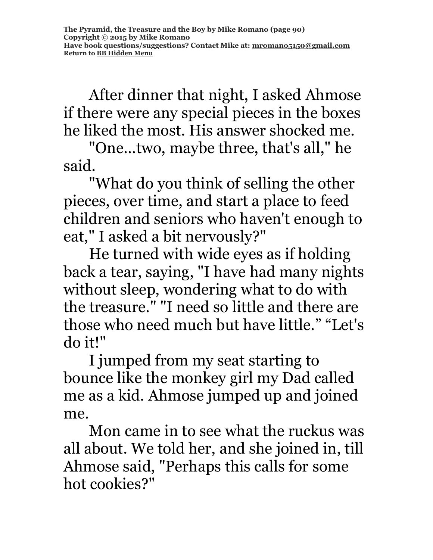After dinner that night, I asked Ahmose if there were any special pieces in the boxes he liked the most. His answer shocked me.

"One...two, maybe three, that's all," he said.

"What do you think of selling the other pieces, over time, and start a place to feed children and seniors who haven't enough to eat," I asked a bit nervously?"

He turned with wide eyes as if holding back a tear, saying, "I have had many nights without sleep, wondering what to do with the treasure." "I need so little and there are those who need much but have little." "Let's do it!"

I jumped from my seat starting to bounce like the monkey girl my Dad called me as a kid. Ahmose jumped up and joined me.

Mon came in to see what the ruckus was all about. We told her, and she joined in, till Ahmose said, "Perhaps this calls for some hot cookies?"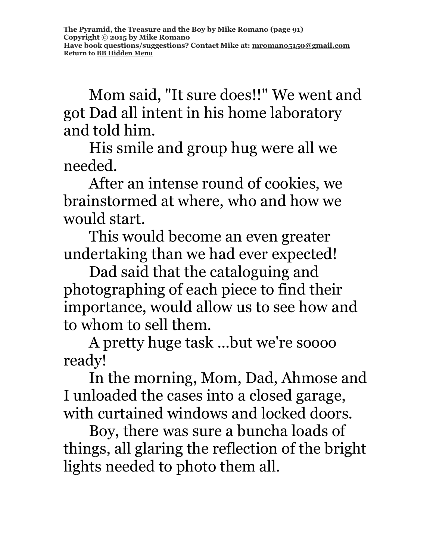Mom said, "It sure does!!" We went and got Dad all intent in his home laboratory and told him.

His smile and group hug were all we needed.

After an intense round of cookies, we brainstormed at where, who and how we would start.

This would become an even greater undertaking than we had ever expected!

Dad said that the cataloguing and photographing of each piece to find their importance, would allow us to see how and to whom to sell them.

A pretty huge task ...but we're soooo ready!

In the morning, Mom, Dad, Ahmose and I unloaded the cases into a closed garage, with curtained windows and locked doors.

Boy, there was sure a buncha loads of things, all glaring the reflection of the bright lights needed to photo them all.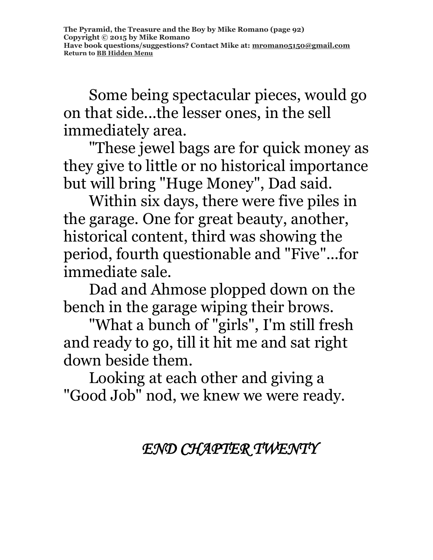Some being spectacular pieces, would go on that side...the lesser ones, in the sell immediately area.

"These jewel bags are for quick money as they give to little or no historical importance but will bring "Huge Money", Dad said.

Within six days, there were five piles in the garage. One for great beauty, another, historical content, third was showing the period, fourth questionable and "Five"...for immediate sale.

Dad and Ahmose plopped down on the bench in the garage wiping their brows.

"What a bunch of "girls", I'm still fresh and ready to go, till it hit me and sat right down beside them.

Looking at each other and giving a "Good Job" nod, we knew we were ready.

# *END CHAPTER TWENTY*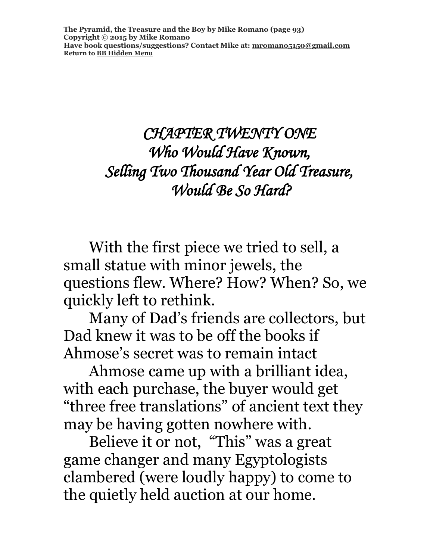**The Pyramid, the Treasure and the Boy by Mike Romano (page 93) Copyright © 2015 by Mike Romano Have book questions/suggestions? Contact Mike at: [mromano5150@gmail.com](mailto:mromano5150@gmail.com) Return t[o BB Hidden Menu](https://www.bartlettbiographies.com/hidden-menu)**

## *CHAPTER TWENTY ONE Who Would Have Known, Selling Two Thousand Year Old Treasure, Would Be So Hard?*

With the first piece we tried to sell, a small statue with minor jewels, the questions flew. Where? How? When? So, we quickly left to rethink.

Many of Dad's friends are collectors, but Dad knew it was to be off the books if Ahmose's secret was to remain intact

Ahmose came up with a brilliant idea, with each purchase, the buyer would get "three free translations" of ancient text they may be having gotten nowhere with.

Believe it or not, "This" was a great game changer and many Egyptologists clambered (were loudly happy) to come to the quietly held auction at our home.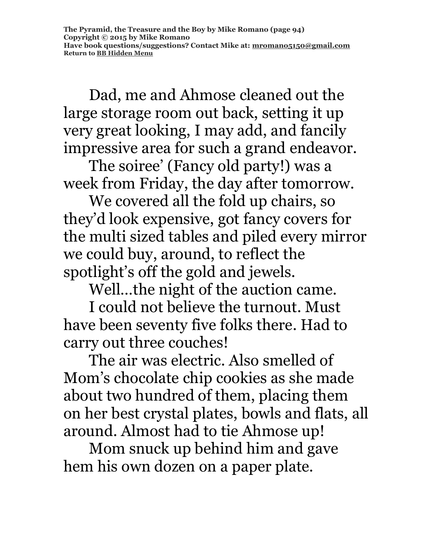Dad, me and Ahmose cleaned out the large storage room out back, setting it up very great looking, I may add, and fancily impressive area for such a grand endeavor.

The soiree' (Fancy old party!) was a week from Friday, the day after tomorrow.

We covered all the fold up chairs, so they'd look expensive, got fancy covers for the multi sized tables and piled every mirror we could buy, around, to reflect the spotlight's off the gold and jewels.

Well…the night of the auction came.

I could not believe the turnout. Must have been seventy five folks there. Had to carry out three couches!

The air was electric. Also smelled of Mom's chocolate chip cookies as she made about two hundred of them, placing them on her best crystal plates, bowls and flats, all around. Almost had to tie Ahmose up!

Mom snuck up behind him and gave hem his own dozen on a paper plate.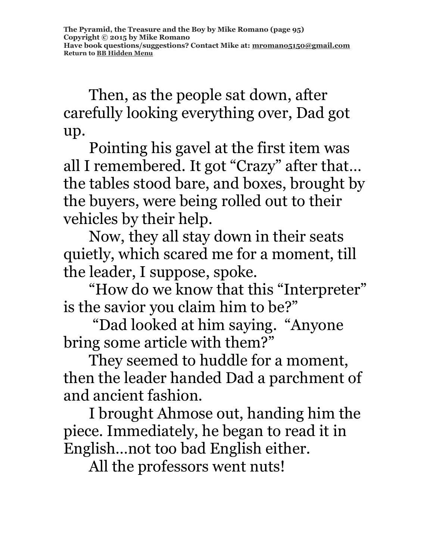Then, as the people sat down, after carefully looking everything over, Dad got up.

Pointing his gavel at the first item was all I remembered. It got "Crazy" after that… the tables stood bare, and boxes, brought by the buyers, were being rolled out to their vehicles by their help.

Now, they all stay down in their seats quietly, which scared me for a moment, till the leader, I suppose, spoke.

"How do we know that this "Interpreter" is the savior you claim him to be?"

"Dad looked at him saying. "Anyone bring some article with them?"

They seemed to huddle for a moment, then the leader handed Dad a parchment of and ancient fashion.

I brought Ahmose out, handing him the piece. Immediately, he began to read it in English…not too bad English either.

All the professors went nuts!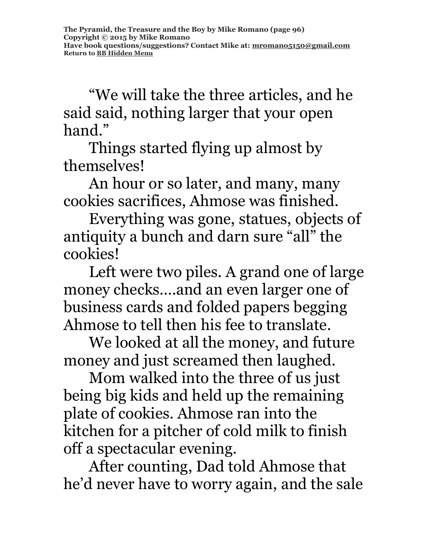"We will take the three articles, and he said said, nothing larger that your open hand."

Things started flying up almost by themselves!

An hour or so later, and many, many cookies sacrifices, Ahmose was finished.

Everything was gone, statues, objects of antiquity a bunch and darn sure "all" the cookies!

Left were two piles. A grand one of large money checks….and an even larger one of business cards and folded papers begging Ahmose to tell then his fee to translate.

We looked at all the money, and future money and just screamed then laughed.

Mom walked into the three of us just being big kids and held up the remaining plate of cookies. Ahmose ran into the kitchen for a pitcher of cold milk to finish off a spectacular evening.

After counting, Dad told Ahmose that he'd never have to worry again, and the sale